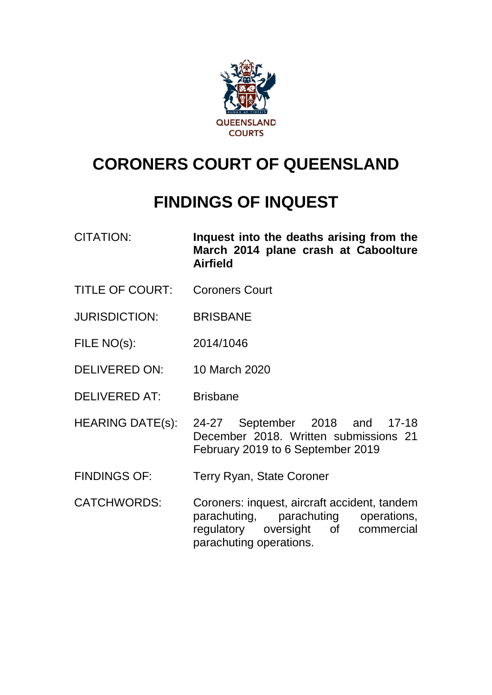

# **CORONERS COURT OF QUEENSLAND**

# **FINDINGS OF INQUEST**

- CITATION: **Inquest into the deaths arising from the March 2014 plane crash at Caboolture Airfield**
- TITLE OF COURT: Coroners Court
- JURISDICTION: BRISBANE
- FILE NO(s): 2014/1046
- DELIVERED ON: 10 March 2020
- DELIVERED AT: Brisbane
- HEARING DATE(s): 24-27 September 2018 and 17-18 December 2018. Written submissions 21 February 2019 to 6 September 2019
- FINDINGS OF: Terry Ryan, State Coroner
- CATCHWORDS: Coroners: inquest, aircraft accident, tandem parachuting, parachuting operations, regulatory oversight of commercial parachuting operations.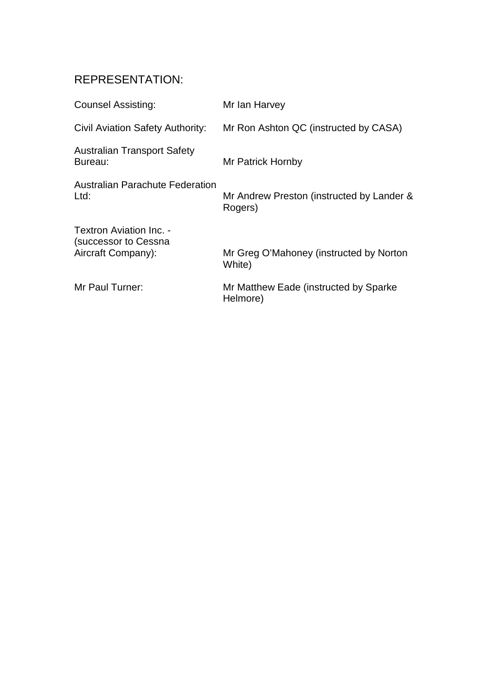## REPRESENTATION:

| <b>Counsel Assisting:</b>                                             | Mr Ian Harvey                                        |
|-----------------------------------------------------------------------|------------------------------------------------------|
| Civil Aviation Safety Authority:                                      | Mr Ron Ashton QC (instructed by CASA)                |
| <b>Australian Transport Safety</b><br>Bureau:                         | Mr Patrick Hornby                                    |
| <b>Australian Parachute Federation</b><br>Ltd:                        | Mr Andrew Preston (instructed by Lander &<br>Rogers) |
| Textron Aviation Inc. -<br>(successor to Cessna<br>Aircraft Company): | Mr Greg O'Mahoney (instructed by Norton<br>White)    |
| Mr Paul Turner:                                                       | Mr Matthew Eade (instructed by Sparke<br>Helmore)    |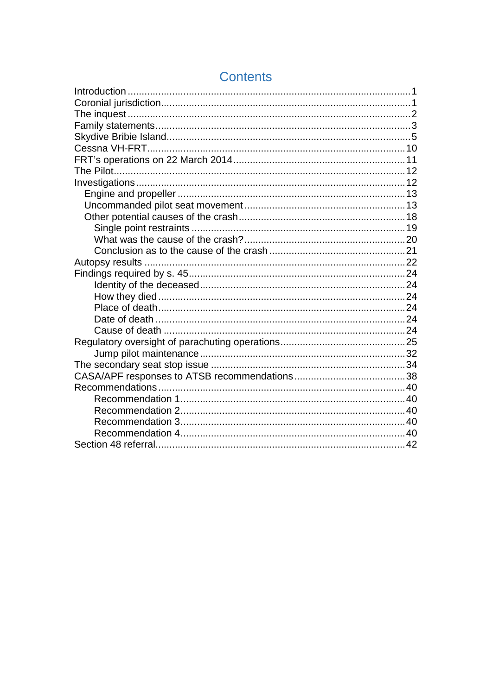## **Contents**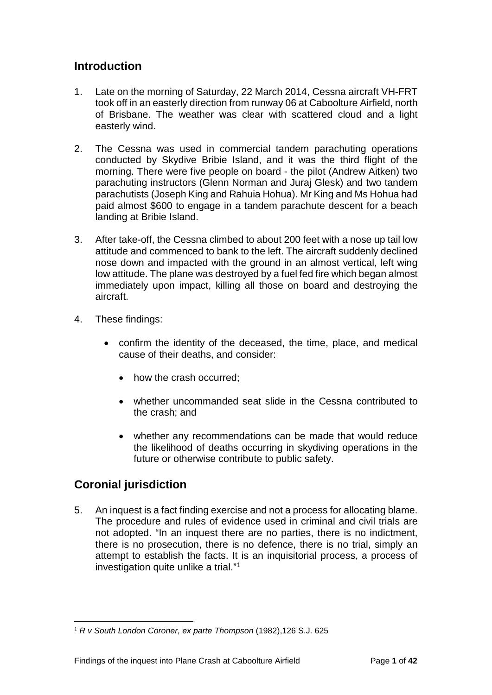## <span id="page-3-0"></span>**Introduction**

- 1. Late on the morning of Saturday, 22 March 2014, Cessna aircraft VH-FRT took off in an easterly direction from runway 06 at Caboolture Airfield, north of Brisbane. The weather was clear with scattered cloud and a light easterly wind.
- 2. The Cessna was used in commercial tandem parachuting operations conducted by Skydive Bribie Island, and it was the third flight of the morning. There were five people on board - the pilot (Andrew Aitken) two parachuting instructors (Glenn Norman and Juraj Glesk) and two tandem parachutists (Joseph King and Rahuia Hohua). Mr King and Ms Hohua had paid almost \$600 to engage in a tandem parachute descent for a beach landing at Bribie Island.
- 3. After take-off, the Cessna climbed to about 200 feet with a nose up tail low attitude and commenced to bank to the left. The aircraft suddenly declined nose down and impacted with the ground in an almost vertical, left wing low attitude. The plane was destroyed by a fuel fed fire which began almost immediately upon impact, killing all those on board and destroying the aircraft.
- 4. These findings:
	- confirm the identity of the deceased, the time, place, and medical cause of their deaths, and consider:
		- how the crash occurred:
		- whether uncommanded seat slide in the Cessna contributed to the crash; and
		- whether any recommendations can be made that would reduce the likelihood of deaths occurring in skydiving operations in the future or otherwise contribute to public safety.

## <span id="page-3-1"></span>**Coronial jurisdiction**

5. An inquest is a fact finding exercise and not a process for allocating blame. The procedure and rules of evidence used in criminal and civil trials are not adopted. "In an inquest there are no parties, there is no indictment, there is no prosecution, there is no defence, there is no trial, simply an attempt to establish the facts. It is an inquisitorial process, a process of investigation quite unlike a trial."[1](#page-3-2)

<span id="page-3-2"></span><sup>1</sup> *R v South London Coroner, ex parte Thompson* (1982),126 S.J. 625  $\overline{a}$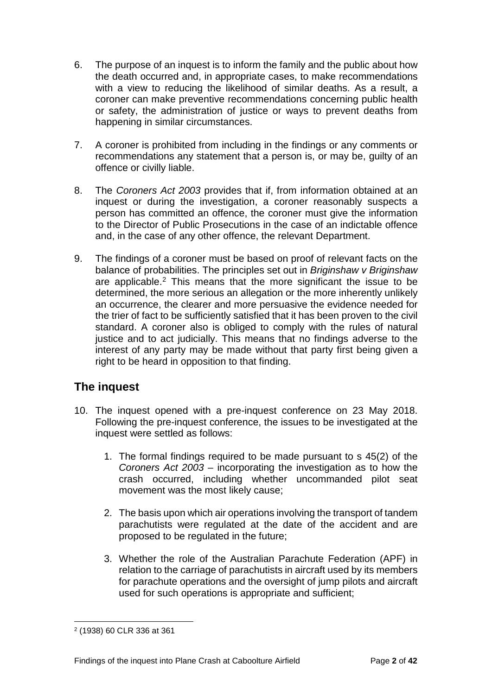- 6. The purpose of an inquest is to inform the family and the public about how the death occurred and, in appropriate cases, to make recommendations with a view to reducing the likelihood of similar deaths. As a result, a coroner can make preventive recommendations concerning public health or safety, the administration of justice or ways to prevent deaths from happening in similar circumstances.
- 7. A coroner is prohibited from including in the findings or any comments or recommendations any statement that a person is, or may be, guilty of an offence or civilly liable.
- 8. The *Coroners Act 2003* provides that if, from information obtained at an inquest or during the investigation, a coroner reasonably suspects a person has committed an offence, the coroner must give the information to the Director of Public Prosecutions in the case of an indictable offence and, in the case of any other offence, the relevant Department.
- 9. The findings of a coroner must be based on proof of relevant facts on the balance of probabilities. The principles set out in *Briginshaw v Briginshaw* are applicable. [2](#page-4-1) This means that the more significant the issue to be determined, the more serious an allegation or the more inherently unlikely an occurrence, the clearer and more persuasive the evidence needed for the trier of fact to be sufficiently satisfied that it has been proven to the civil standard. A coroner also is obliged to comply with the rules of natural justice and to act judicially. This means that no findings adverse to the interest of any party may be made without that party first being given a right to be heard in opposition to that finding.

## <span id="page-4-0"></span>**The inquest**

- 10. The inquest opened with a pre-inquest conference on 23 May 2018. Following the pre-inquest conference, the issues to be investigated at the inquest were settled as follows:
	- 1. The formal findings required to be made pursuant to s 45(2) of the *Coroners Act 2003* – incorporating the investigation as to how the crash occurred, including whether uncommanded pilot seat movement was the most likely cause;
	- 2. The basis upon which air operations involving the transport of tandem parachutists were regulated at the date of the accident and are proposed to be regulated in the future;
	- 3. Whether the role of the Australian Parachute Federation (APF) in relation to the carriage of parachutists in aircraft used by its members for parachute operations and the oversight of jump pilots and aircraft used for such operations is appropriate and sufficient;

<span id="page-4-1"></span><sup>2</sup> (1938) 60 CLR 336 at 361  $\overline{a}$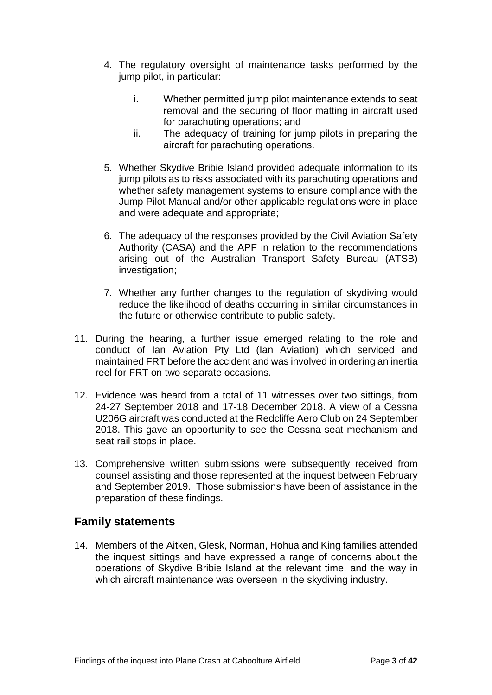- 4. The regulatory oversight of maintenance tasks performed by the jump pilot, in particular:
	- i. Whether permitted jump pilot maintenance extends to seat removal and the securing of floor matting in aircraft used for parachuting operations; and
	- ii. The adequacy of training for jump pilots in preparing the aircraft for parachuting operations.
- 5. Whether Skydive Bribie Island provided adequate information to its jump pilots as to risks associated with its parachuting operations and whether safety management systems to ensure compliance with the Jump Pilot Manual and/or other applicable regulations were in place and were adequate and appropriate;
- 6. The adequacy of the responses provided by the Civil Aviation Safety Authority (CASA) and the APF in relation to the recommendations arising out of the Australian Transport Safety Bureau (ATSB) investigation;
- 7. Whether any further changes to the regulation of skydiving would reduce the likelihood of deaths occurring in similar circumstances in the future or otherwise contribute to public safety.
- 11. During the hearing, a further issue emerged relating to the role and conduct of Ian Aviation Pty Ltd (Ian Aviation) which serviced and maintained FRT before the accident and was involved in ordering an inertia reel for FRT on two separate occasions.
- 12. Evidence was heard from a total of 11 witnesses over two sittings, from 24-27 September 2018 and 17-18 December 2018. A view of a Cessna U206G aircraft was conducted at the Redcliffe Aero Club on 24 September 2018. This gave an opportunity to see the Cessna seat mechanism and seat rail stops in place.
- 13. Comprehensive written submissions were subsequently received from counsel assisting and those represented at the inquest between February and September 2019. Those submissions have been of assistance in the preparation of these findings.

## <span id="page-5-0"></span>**Family statements**

14. Members of the Aitken, Glesk, Norman, Hohua and King families attended the inquest sittings and have expressed a range of concerns about the operations of Skydive Bribie Island at the relevant time, and the way in which aircraft maintenance was overseen in the skydiving industry.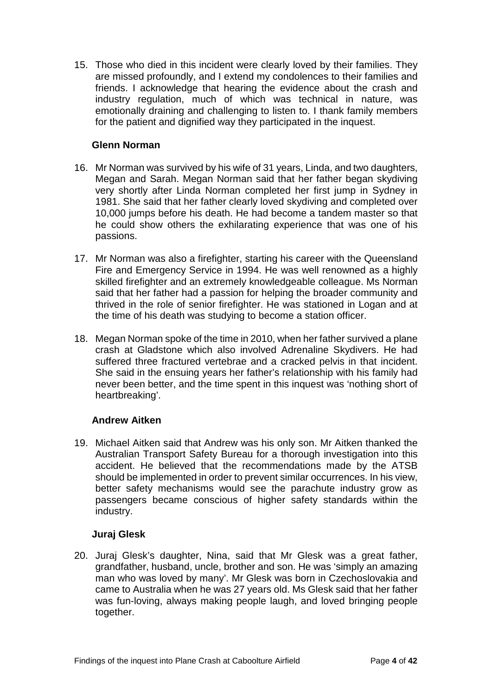15. Those who died in this incident were clearly loved by their families. They are missed profoundly, and I extend my condolences to their families and friends. I acknowledge that hearing the evidence about the crash and industry regulation, much of which was technical in nature, was emotionally draining and challenging to listen to. I thank family members for the patient and dignified way they participated in the inquest.

#### **Glenn Norman**

- 16. Mr Norman was survived by his wife of 31 years, Linda, and two daughters, Megan and Sarah. Megan Norman said that her father began skydiving very shortly after Linda Norman completed her first jump in Sydney in 1981. She said that her father clearly loved skydiving and completed over 10,000 jumps before his death. He had become a tandem master so that he could show others the exhilarating experience that was one of his passions.
- 17. Mr Norman was also a firefighter, starting his career with the Queensland Fire and Emergency Service in 1994. He was well renowned as a highly skilled firefighter and an extremely knowledgeable colleague. Ms Norman said that her father had a passion for helping the broader community and thrived in the role of senior firefighter. He was stationed in Logan and at the time of his death was studying to become a station officer.
- 18. Megan Norman spoke of the time in 2010, when her father survived a plane crash at Gladstone which also involved Adrenaline Skydivers. He had suffered three fractured vertebrae and a cracked pelvis in that incident. She said in the ensuing years her father's relationship with his family had never been better, and the time spent in this inquest was 'nothing short of heartbreaking'.

#### **Andrew Aitken**

19. Michael Aitken said that Andrew was his only son. Mr Aitken thanked the Australian Transport Safety Bureau for a thorough investigation into this accident. He believed that the recommendations made by the ATSB should be implemented in order to prevent similar occurrences. In his view, better safety mechanisms would see the parachute industry grow as passengers became conscious of higher safety standards within the industry.

#### **Juraj Glesk**

20. Juraj Glesk's daughter, Nina, said that Mr Glesk was a great father, grandfather, husband, uncle, brother and son. He was 'simply an amazing man who was loved by many'. Mr Glesk was born in Czechoslovakia and came to Australia when he was 27 years old. Ms Glesk said that her father was fun-loving, always making people laugh, and loved bringing people together.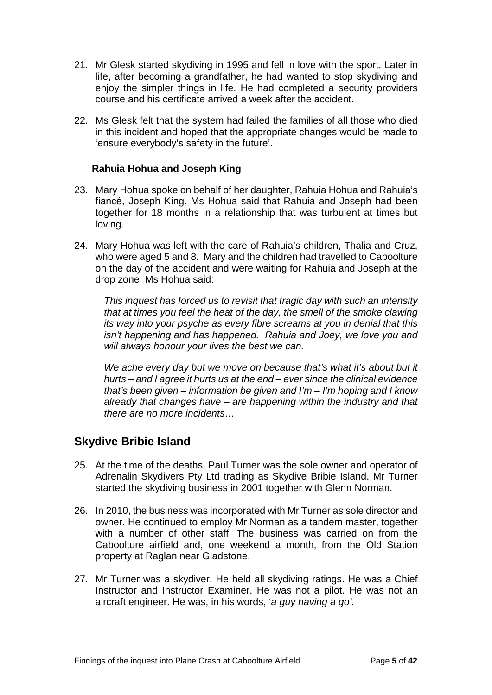- 21. Mr Glesk started skydiving in 1995 and fell in love with the sport. Later in life, after becoming a grandfather, he had wanted to stop skydiving and enjoy the simpler things in life. He had completed a security providers course and his certificate arrived a week after the accident.
- 22. Ms Glesk felt that the system had failed the families of all those who died in this incident and hoped that the appropriate changes would be made to 'ensure everybody's safety in the future'.

#### **Rahuia Hohua and Joseph King**

- 23. Mary Hohua spoke on behalf of her daughter, Rahuia Hohua and Rahuia's fiancé, Joseph King. Ms Hohua said that Rahuia and Joseph had been together for 18 months in a relationship that was turbulent at times but loving.
- 24. Mary Hohua was left with the care of Rahuia's children, Thalia and Cruz, who were aged 5 and 8. Mary and the children had travelled to Caboolture on the day of the accident and were waiting for Rahuia and Joseph at the drop zone. Ms Hohua said:

*This inquest has forced us to revisit that tragic day with such an intensity that at times you feel the heat of the day, the smell of the smoke clawing its way into your psyche as every fibre screams at you in denial that this isn't happening and has happened. Rahuia and Joey, we love you and will always honour your lives the best we can.*

*We ache every day but we move on because that's what it's about but it hurts – and I agree it hurts us at the end – ever since the clinical evidence that's been given – information be given and I'm – I'm hoping and I know already that changes have – are happening within the industry and that there are no more incidents…*

## <span id="page-7-0"></span>**Skydive Bribie Island**

- 25. At the time of the deaths, Paul Turner was the sole owner and operator of Adrenalin Skydivers Pty Ltd trading as Skydive Bribie Island. Mr Turner started the skydiving business in 2001 together with Glenn Norman.
- 26. In 2010, the business was incorporated with Mr Turner as sole director and owner. He continued to employ Mr Norman as a tandem master, together with a number of other staff. The business was carried on from the Caboolture airfield and, one weekend a month, from the Old Station property at Raglan near Gladstone.
- 27. Mr Turner was a skydiver. He held all skydiving ratings. He was a Chief Instructor and Instructor Examiner. He was not a pilot. He was not an aircraft engineer. He was, in his words, '*a guy having a go'*.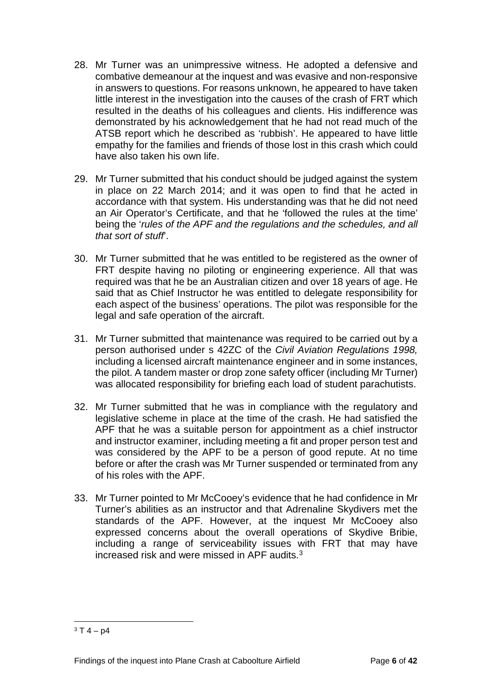- 28. Mr Turner was an unimpressive witness. He adopted a defensive and combative demeanour at the inquest and was evasive and non-responsive in answers to questions. For reasons unknown, he appeared to have taken little interest in the investigation into the causes of the crash of FRT which resulted in the deaths of his colleagues and clients. His indifference was demonstrated by his acknowledgement that he had not read much of the ATSB report which he described as 'rubbish'. He appeared to have little empathy for the families and friends of those lost in this crash which could have also taken his own life.
- 29. Mr Turner submitted that his conduct should be judged against the system in place on 22 March 2014; and it was open to find that he acted in accordance with that system. His understanding was that he did not need an Air Operator's Certificate, and that he 'followed the rules at the time' being the '*rules of the APF and the regulations and the schedules, and all that sort of stuff*'.
- 30. Mr Turner submitted that he was entitled to be registered as the owner of FRT despite having no piloting or engineering experience. All that was required was that he be an Australian citizen and over 18 years of age. He said that as Chief Instructor he was entitled to delegate responsibility for each aspect of the business' operations. The pilot was responsible for the legal and safe operation of the aircraft.
- 31. Mr Turner submitted that maintenance was required to be carried out by a person authorised under s 42ZC of the *Civil Aviation Regulations 1998,*  including a licensed aircraft maintenance engineer and in some instances, the pilot. A tandem master or drop zone safety officer (including Mr Turner) was allocated responsibility for briefing each load of student parachutists.
- 32. Mr Turner submitted that he was in compliance with the regulatory and legislative scheme in place at the time of the crash. He had satisfied the APF that he was a suitable person for appointment as a chief instructor and instructor examiner, including meeting a fit and proper person test and was considered by the APF to be a person of good repute. At no time before or after the crash was Mr Turner suspended or terminated from any of his roles with the APF.
- 33. Mr Turner pointed to Mr McCooey's evidence that he had confidence in Mr Turner's abilities as an instructor and that Adrenaline Skydivers met the standards of the APF. However, at the inquest Mr McCooey also expressed concerns about the overall operations of Skydive Bribie, including a range of serviceability issues with FRT that may have increased risk and were missed in APF audits.[3](#page-8-0)

<span id="page-8-0"></span> $3T 4 - p4$  $\overline{a}$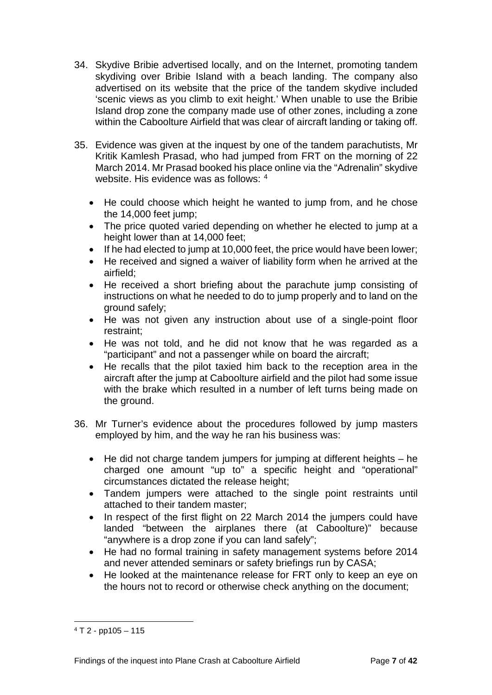- 34. Skydive Bribie advertised locally, and on the Internet, promoting tandem skydiving over Bribie Island with a beach landing. The company also advertised on its website that the price of the tandem skydive included 'scenic views as you climb to exit height.' When unable to use the Bribie Island drop zone the company made use of other zones, including a zone within the Caboolture Airfield that was clear of aircraft landing or taking off.
- 35. Evidence was given at the inquest by one of the tandem parachutists, Mr Kritik Kamlesh Prasad, who had jumped from FRT on the morning of 22 March 2014. Mr Prasad booked his place online via the "Adrenalin" skydive website. His evidence was as follows: [4](#page-9-0)
	- He could choose which height he wanted to jump from, and he chose the 14,000 feet jump;
	- The price quoted varied depending on whether he elected to jump at a height lower than at 14,000 feet;
	- If he had elected to jump at 10,000 feet, the price would have been lower:
	- He received and signed a waiver of liability form when he arrived at the airfield;
	- He received a short briefing about the parachute jump consisting of instructions on what he needed to do to jump properly and to land on the ground safely;
	- He was not given any instruction about use of a single-point floor restraint;
	- He was not told, and he did not know that he was regarded as a "participant" and not a passenger while on board the aircraft;
	- He recalls that the pilot taxied him back to the reception area in the aircraft after the jump at Caboolture airfield and the pilot had some issue with the brake which resulted in a number of left turns being made on the ground.
- 36. Mr Turner's evidence about the procedures followed by jump masters employed by him, and the way he ran his business was:
	- He did not charge tandem jumpers for jumping at different heights he charged one amount "up to" a specific height and "operational" circumstances dictated the release height;
	- Tandem jumpers were attached to the single point restraints until attached to their tandem master;
	- In respect of the first flight on 22 March 2014 the jumpers could have landed "between the airplanes there (at Caboolture)" because "anywhere is a drop zone if you can land safely";
	- He had no formal training in safety management systems before 2014 and never attended seminars or safety briefings run by CASA;
	- He looked at the maintenance release for FRT only to keep an eye on the hours not to record or otherwise check anything on the document;

<span id="page-9-0"></span> $4$  T 2 - pp105 - 115  $\overline{a}$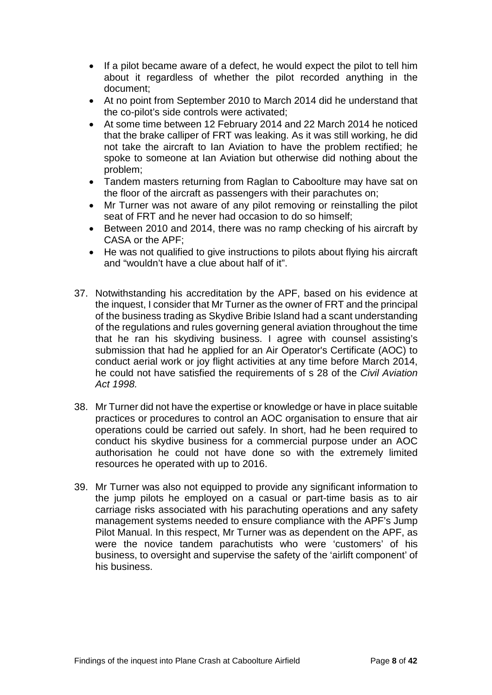- If a pilot became aware of a defect, he would expect the pilot to tell him about it regardless of whether the pilot recorded anything in the document;
- At no point from September 2010 to March 2014 did he understand that the co-pilot's side controls were activated;
- At some time between 12 February 2014 and 22 March 2014 he noticed that the brake calliper of FRT was leaking. As it was still working, he did not take the aircraft to Ian Aviation to have the problem rectified; he spoke to someone at Ian Aviation but otherwise did nothing about the problem;
- Tandem masters returning from Raglan to Caboolture may have sat on the floor of the aircraft as passengers with their parachutes on;
- Mr Turner was not aware of any pilot removing or reinstalling the pilot seat of FRT and he never had occasion to do so himself;
- Between 2010 and 2014, there was no ramp checking of his aircraft by CASA or the APF;
- He was not qualified to give instructions to pilots about flying his aircraft and "wouldn't have a clue about half of it".
- 37. Notwithstanding his accreditation by the APF, based on his evidence at the inquest, I consider that Mr Turner as the owner of FRT and the principal of the business trading as Skydive Bribie Island had a scant understanding of the regulations and rules governing general aviation throughout the time that he ran his skydiving business. I agree with counsel assisting's submission that had he applied for an Air Operator's Certificate (AOC) to conduct aerial work or joy flight activities at any time before March 2014, he could not have satisfied the requirements of s 28 of the *Civil Aviation Act 1998.*
- 38. Mr Turner did not have the expertise or knowledge or have in place suitable practices or procedures to control an AOC organisation to ensure that air operations could be carried out safely. In short, had he been required to conduct his skydive business for a commercial purpose under an AOC authorisation he could not have done so with the extremely limited resources he operated with up to 2016.
- 39. Mr Turner was also not equipped to provide any significant information to the jump pilots he employed on a casual or part-time basis as to air carriage risks associated with his parachuting operations and any safety management systems needed to ensure compliance with the APF's Jump Pilot Manual. In this respect, Mr Turner was as dependent on the APF, as were the novice tandem parachutists who were 'customers' of his business, to oversight and supervise the safety of the 'airlift component' of his business.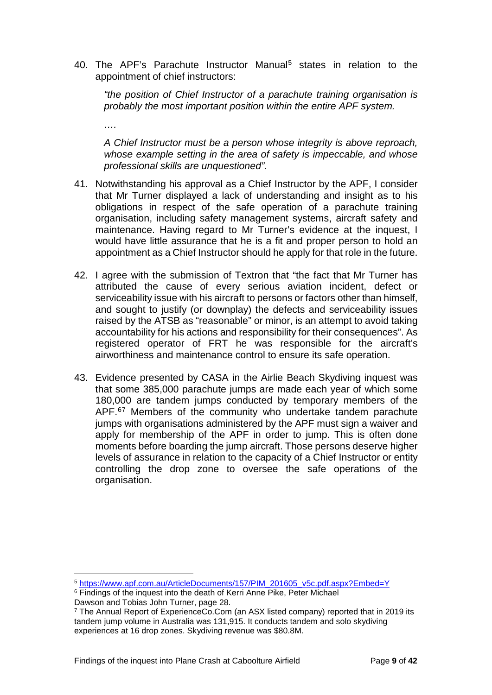40. The APF's Parachute Instructor Manual<sup>[5](#page-11-0)</sup> states in relation to the appointment of chief instructors:

*….*

 $\overline{a}$ 

*"the position of Chief Instructor of a parachute training organisation is probably the most important position within the entire APF system.*

*A Chief Instructor must be a person whose integrity is above reproach, whose example setting in the area of safety is impeccable, and whose professional skills are unquestioned".*

- 41. Notwithstanding his approval as a Chief Instructor by the APF, I consider that Mr Turner displayed a lack of understanding and insight as to his obligations in respect of the safe operation of a parachute training organisation, including safety management systems, aircraft safety and maintenance. Having regard to Mr Turner's evidence at the inquest, I would have little assurance that he is a fit and proper person to hold an appointment as a Chief Instructor should he apply for that role in the future.
- 42. I agree with the submission of Textron that "the fact that Mr Turner has attributed the cause of every serious aviation incident, defect or serviceability issue with his aircraft to persons or factors other than himself, and sought to justify (or downplay) the defects and serviceability issues raised by the ATSB as "reasonable" or minor, is an attempt to avoid taking accountability for his actions and responsibility for their consequences". As registered operator of FRT he was responsible for the aircraft's airworthiness and maintenance control to ensure its safe operation.
- 43. Evidence presented by CASA in the Airlie Beach Skydiving inquest was that some 385,000 parachute jumps are made each year of which some 180,000 are tandem jumps conducted by temporary members of the APF.<sup>[6](#page-11-1)[7](#page-11-2)</sup> Members of the community who undertake tandem parachute jumps with organisations administered by the APF must sign a waiver and apply for membership of the APF in order to jump. This is often done moments before boarding the jump aircraft. Those persons deserve higher levels of assurance in relation to the capacity of a Chief Instructor or entity controlling the drop zone to oversee the safe operations of the organisation.

<span id="page-11-0"></span><sup>5</sup> [https://www.apf.com.au/ArticleDocuments/157/PIM\\_201605\\_v5c.pdf.aspx?Embed=Y](https://www.apf.com.au/ArticleDocuments/157/PIM_201605_v5c.pdf.aspx?Embed=Y)

<span id="page-11-1"></span><sup>&</sup>lt;sup>6</sup> Findings of the inquest into the death of Kerri Anne Pike, Peter Michael Dawson and Tobias John Turner, page 28.

<span id="page-11-2"></span><sup>7</sup> The Annual Report of ExperienceCo.Com (an ASX listed company) reported that in 2019 its tandem jump volume in Australia was 131,915. It conducts tandem and solo skydiving experiences at 16 drop zones. Skydiving revenue was \$80.8M.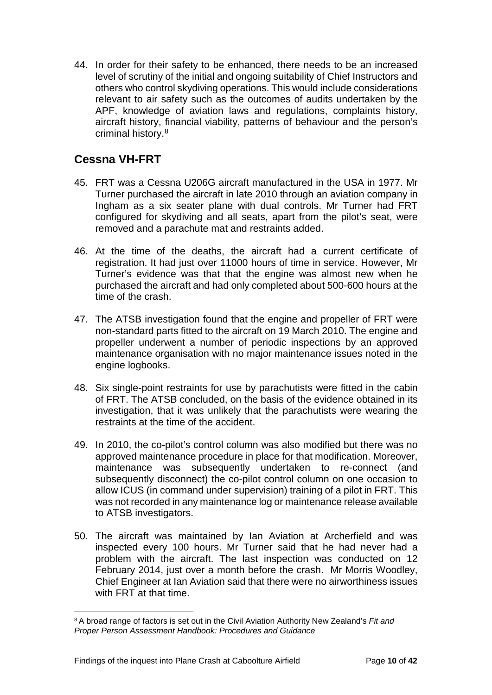44. In order for their safety to be enhanced, there needs to be an increased level of scrutiny of the initial and ongoing suitability of Chief Instructors and others who control skydiving operations. This would include considerations relevant to air safety such as the outcomes of audits undertaken by the APF, knowledge of aviation laws and regulations, complaints history, aircraft history, financial viability, patterns of behaviour and the person's criminal history.[8](#page-12-1)

## <span id="page-12-0"></span>**Cessna VH-FRT**

- 45. FRT was a Cessna U206G aircraft manufactured in the USA in 1977. Mr Turner purchased the aircraft in late 2010 through an aviation company in Ingham as a six seater plane with dual controls. Mr Turner had FRT configured for skydiving and all seats, apart from the pilot's seat, were removed and a parachute mat and restraints added.
- 46. At the time of the deaths, the aircraft had a current certificate of registration. It had just over 11000 hours of time in service. However, Mr Turner's evidence was that that the engine was almost new when he purchased the aircraft and had only completed about 500-600 hours at the time of the crash.
- 47. The ATSB investigation found that the engine and propeller of FRT were non-standard parts fitted to the aircraft on 19 March 2010. The engine and propeller underwent a number of periodic inspections by an approved maintenance organisation with no major maintenance issues noted in the engine logbooks.
- 48. Six single-point restraints for use by parachutists were fitted in the cabin of FRT. The ATSB concluded, on the basis of the evidence obtained in its investigation, that it was unlikely that the parachutists were wearing the restraints at the time of the accident.
- 49. In 2010, the co-pilot's control column was also modified but there was no approved maintenance procedure in place for that modification. Moreover, maintenance was subsequently undertaken to re-connect (and subsequently disconnect) the co-pilot control column on one occasion to allow ICUS (in command under supervision) training of a pilot in FRT. This was not recorded in any maintenance log or maintenance release available to ATSB investigators.
- 50. The aircraft was maintained by Ian Aviation at Archerfield and was inspected every 100 hours. Mr Turner said that he had never had a problem with the aircraft. The last inspection was conducted on 12 February 2014, just over a month before the crash. Mr Morris Woodley, Chief Engineer at Ian Aviation said that there were no airworthiness issues with FRT at that time.

<span id="page-12-1"></span><sup>8</sup> A broad range of factors is set out in the Civil Aviation Authority New Zealand's *Fit and Proper Person Assessment Handbook: Procedures and Guidance*  $\overline{a}$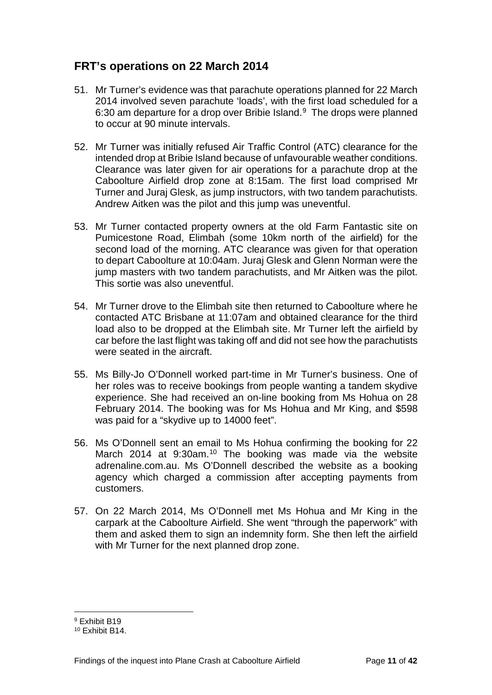## <span id="page-13-0"></span>**FRT's operations on 22 March 2014**

- 51. Mr Turner's evidence was that parachute operations planned for 22 March 2014 involved seven parachute 'loads', with the first load scheduled for a 6:30 am departure for a drop over Bribie Island.<sup>[9](#page-13-1)</sup> The drops were planned to occur at 90 minute intervals.
- 52. Mr Turner was initially refused Air Traffic Control (ATC) clearance for the intended drop at Bribie Island because of unfavourable weather conditions. Clearance was later given for air operations for a parachute drop at the Caboolture Airfield drop zone at 8:15am. The first load comprised Mr Turner and Juraj Glesk, as jump instructors, with two tandem parachutists. Andrew Aitken was the pilot and this jump was uneventful.
- 53. Mr Turner contacted property owners at the old Farm Fantastic site on Pumicestone Road, Elimbah (some 10km north of the airfield) for the second load of the morning. ATC clearance was given for that operation to depart Caboolture at 10:04am. Juraj Glesk and Glenn Norman were the jump masters with two tandem parachutists, and Mr Aitken was the pilot. This sortie was also uneventful.
- 54. Mr Turner drove to the Elimbah site then returned to Caboolture where he contacted ATC Brisbane at 11:07am and obtained clearance for the third load also to be dropped at the Elimbah site. Mr Turner left the airfield by car before the last flight was taking off and did not see how the parachutists were seated in the aircraft.
- 55. Ms Billy-Jo O'Donnell worked part-time in Mr Turner's business. One of her roles was to receive bookings from people wanting a tandem skydive experience. She had received an on-line booking from Ms Hohua on 28 February 2014. The booking was for Ms Hohua and Mr King, and \$598 was paid for a "skydive up to 14000 feet".
- 56. Ms O'Donnell sent an email to Ms Hohua confirming the booking for 22 March 2014 at 9:30am.<sup>[10](#page-13-2)</sup> The booking was made via the website adrenaline.com.au. Ms O'Donnell described the website as a booking agency which charged a commission after accepting payments from customers.
- 57. On 22 March 2014, Ms O'Donnell met Ms Hohua and Mr King in the carpark at the Caboolture Airfield. She went "through the paperwork" with them and asked them to sign an indemnity form. She then left the airfield with Mr Turner for the next planned drop zone.

<sup>9</sup> Exhibit B19  $\overline{a}$ 

<span id="page-13-2"></span><span id="page-13-1"></span><sup>10</sup> Exhibit B14.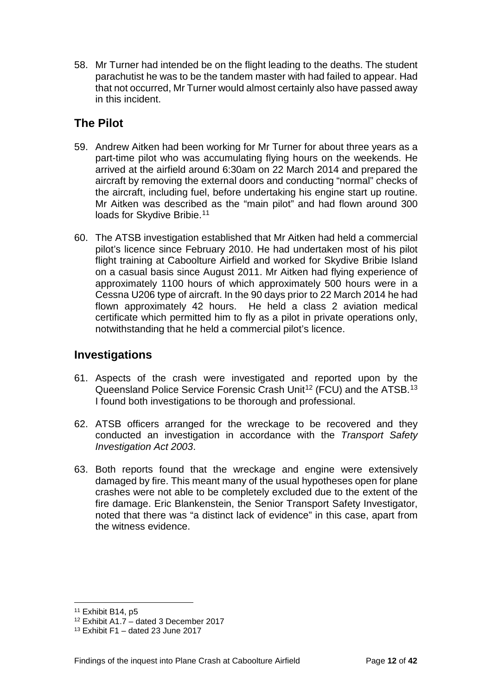58. Mr Turner had intended be on the flight leading to the deaths. The student parachutist he was to be the tandem master with had failed to appear. Had that not occurred, Mr Turner would almost certainly also have passed away in this incident.

## <span id="page-14-0"></span>**The Pilot**

- 59. Andrew Aitken had been working for Mr Turner for about three years as a part-time pilot who was accumulating flying hours on the weekends. He arrived at the airfield around 6:30am on 22 March 2014 and prepared the aircraft by removing the external doors and conducting "normal" checks of the aircraft, including fuel, before undertaking his engine start up routine. Mr Aitken was described as the "main pilot" and had flown around 300 loads for Skydive Bribie.<sup>[11](#page-14-2)</sup>
- 60. The ATSB investigation established that Mr Aitken had held a commercial pilot's licence since February 2010. He had undertaken most of his pilot flight training at Caboolture Airfield and worked for Skydive Bribie Island on a casual basis since August 2011. Mr Aitken had flying experience of approximately 1100 hours of which approximately 500 hours were in a Cessna U206 type of aircraft. In the 90 days prior to 22 March 2014 he had flown approximately 42 hours. He held a class 2 aviation medical certificate which permitted him to fly as a pilot in private operations only, notwithstanding that he held a commercial pilot's licence.

## <span id="page-14-1"></span>**Investigations**

- 61. Aspects of the crash were investigated and reported upon by the Queensland Police Service Forensic Crash Unit<sup>[12](#page-14-3)</sup> (FCU) and the ATSB.<sup>[13](#page-14-4)</sup> I found both investigations to be thorough and professional.
- 62. ATSB officers arranged for the wreckage to be recovered and they conducted an investigation in accordance with the *Transport Safety Investigation Act 2003*.
- 63. Both reports found that the wreckage and engine were extensively damaged by fire. This meant many of the usual hypotheses open for plane crashes were not able to be completely excluded due to the extent of the fire damage. Eric Blankenstein, the Senior Transport Safety Investigator, noted that there was "a distinct lack of evidence" in this case, apart from the witness evidence.

<sup>11</sup> Exhibit B14, p5  $\overline{a}$ 

<span id="page-14-3"></span><span id="page-14-2"></span><sup>12</sup> Exhibit A1.7 – dated 3 December 2017

<span id="page-14-4"></span> $13$  Exhibit F1 – dated 23 June 2017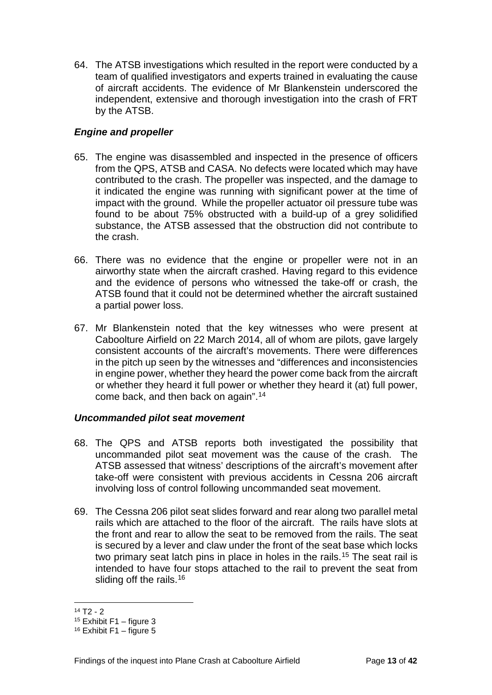64. The ATSB investigations which resulted in the report were conducted by a team of qualified investigators and experts trained in evaluating the cause of aircraft accidents. The evidence of Mr Blankenstein underscored the independent, extensive and thorough investigation into the crash of FRT by the ATSB.

#### <span id="page-15-0"></span>*Engine and propeller*

- 65. The engine was disassembled and inspected in the presence of officers from the QPS, ATSB and CASA. No defects were located which may have contributed to the crash. The propeller was inspected, and the damage to it indicated the engine was running with significant power at the time of impact with the ground. While the propeller actuator oil pressure tube was found to be about 75% obstructed with a build-up of a grey solidified substance, the ATSB assessed that the obstruction did not contribute to the crash.
- 66. There was no evidence that the engine or propeller were not in an airworthy state when the aircraft crashed. Having regard to this evidence and the evidence of persons who witnessed the take-off or crash, the ATSB found that it could not be determined whether the aircraft sustained a partial power loss.
- 67. Mr Blankenstein noted that the key witnesses who were present at Caboolture Airfield on 22 March 2014, all of whom are pilots, gave largely consistent accounts of the aircraft's movements. There were differences in the pitch up seen by the witnesses and "differences and inconsistencies in engine power, whether they heard the power come back from the aircraft or whether they heard it full power or whether they heard it (at) full power, come back, and then back on again".[14](#page-15-2)

#### <span id="page-15-1"></span>*Uncommanded pilot seat movement*

- 68. The QPS and ATSB reports both investigated the possibility that uncommanded pilot seat movement was the cause of the crash. The ATSB assessed that witness' descriptions of the aircraft's movement after take-off were consistent with previous accidents in Cessna 206 aircraft involving loss of control following uncommanded seat movement.
- 69. The Cessna 206 pilot seat slides forward and rear along two parallel metal rails which are attached to the floor of the aircraft. The rails have slots at the front and rear to allow the seat to be removed from the rails. The seat is secured by a lever and claw under the front of the seat base which locks two primary seat latch pins in place in holes in the rails.<sup>[15](#page-15-3)</sup> The seat rail is intended to have four stops attached to the rail to prevent the seat from sliding off the rails.<sup>[16](#page-15-4)</sup>

 $14 T2 - 2$  $\overline{a}$ 

<span id="page-15-3"></span><span id="page-15-2"></span> $15$  Exhibit F1 – figure 3

<span id="page-15-4"></span> $16$  Exhibit F1 – figure 5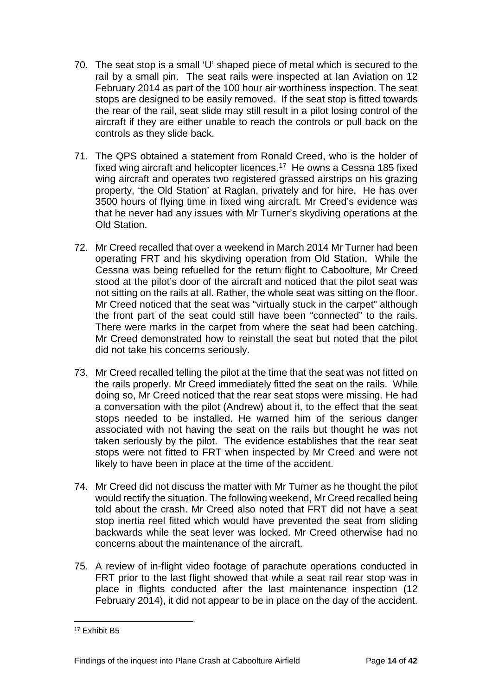- 70. The seat stop is a small 'U' shaped piece of metal which is secured to the rail by a small pin. The seat rails were inspected at Ian Aviation on 12 February 2014 as part of the 100 hour air worthiness inspection. The seat stops are designed to be easily removed. If the seat stop is fitted towards the rear of the rail, seat slide may still result in a pilot losing control of the aircraft if they are either unable to reach the controls or pull back on the controls as they slide back.
- 71. The QPS obtained a statement from Ronald Creed, who is the holder of fixed wing aircraft and helicopter licences.<sup>17</sup> He owns a Cessna 185 fixed wing aircraft and operates two registered grassed airstrips on his grazing property, 'the Old Station' at Raglan, privately and for hire. He has over 3500 hours of flying time in fixed wing aircraft. Mr Creed's evidence was that he never had any issues with Mr Turner's skydiving operations at the Old Station.
- 72. Mr Creed recalled that over a weekend in March 2014 Mr Turner had been operating FRT and his skydiving operation from Old Station. While the Cessna was being refuelled for the return flight to Caboolture, Mr Creed stood at the pilot's door of the aircraft and noticed that the pilot seat was not sitting on the rails at all. Rather, the whole seat was sitting on the floor. Mr Creed noticed that the seat was "virtually stuck in the carpet" although the front part of the seat could still have been "connected" to the rails. There were marks in the carpet from where the seat had been catching. Mr Creed demonstrated how to reinstall the seat but noted that the pilot did not take his concerns seriously.
- 73. Mr Creed recalled telling the pilot at the time that the seat was not fitted on the rails properly. Mr Creed immediately fitted the seat on the rails. While doing so, Mr Creed noticed that the rear seat stops were missing. He had a conversation with the pilot (Andrew) about it, to the effect that the seat stops needed to be installed. He warned him of the serious danger associated with not having the seat on the rails but thought he was not taken seriously by the pilot. The evidence establishes that the rear seat stops were not fitted to FRT when inspected by Mr Creed and were not likely to have been in place at the time of the accident.
- 74. Mr Creed did not discuss the matter with Mr Turner as he thought the pilot would rectify the situation. The following weekend, Mr Creed recalled being told about the crash. Mr Creed also noted that FRT did not have a seat stop inertia reel fitted which would have prevented the seat from sliding backwards while the seat lever was locked. Mr Creed otherwise had no concerns about the maintenance of the aircraft.
- 75. A review of in-flight video footage of parachute operations conducted in FRT prior to the last flight showed that while a seat rail rear stop was in place in flights conducted after the last maintenance inspection (12 February 2014), it did not appear to be in place on the day of the accident.

<span id="page-16-0"></span><sup>17</sup> Exhibit B5  $\overline{a}$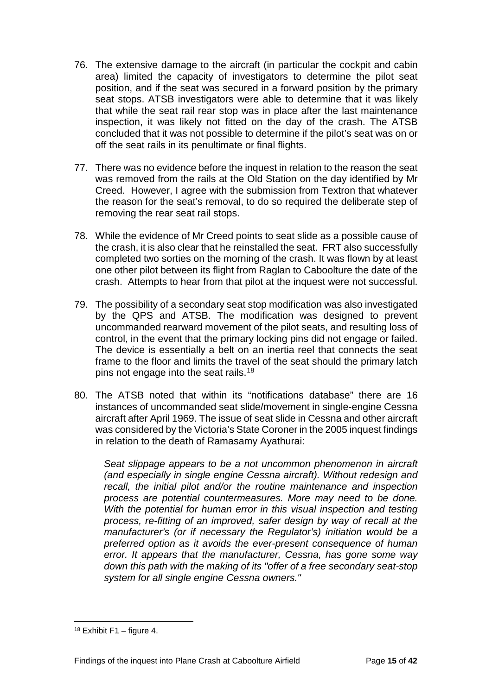- 76. The extensive damage to the aircraft (in particular the cockpit and cabin area) limited the capacity of investigators to determine the pilot seat position, and if the seat was secured in a forward position by the primary seat stops. ATSB investigators were able to determine that it was likely that while the seat rail rear stop was in place after the last maintenance inspection, it was likely not fitted on the day of the crash. The ATSB concluded that it was not possible to determine if the pilot's seat was on or off the seat rails in its penultimate or final flights.
- 77. There was no evidence before the inquest in relation to the reason the seat was removed from the rails at the Old Station on the day identified by Mr Creed. However, I agree with the submission from Textron that whatever the reason for the seat's removal, to do so required the deliberate step of removing the rear seat rail stops.
- 78. While the evidence of Mr Creed points to seat slide as a possible cause of the crash, it is also clear that he reinstalled the seat. FRT also successfully completed two sorties on the morning of the crash. It was flown by at least one other pilot between its flight from Raglan to Caboolture the date of the crash. Attempts to hear from that pilot at the inquest were not successful.
- 79. The possibility of a secondary seat stop modification was also investigated by the QPS and ATSB. The modification was designed to prevent uncommanded rearward movement of the pilot seats, and resulting loss of control, in the event that the primary locking pins did not engage or failed. The device is essentially a belt on an inertia reel that connects the seat frame to the floor and limits the travel of the seat should the primary latch pins not engage into the seat rails.<sup>18</sup>
- 80. The ATSB noted that within its "notifications database" there are 16 instances of uncommanded seat slide/movement in single-engine Cessna aircraft after April 1969. The issue of seat slide in Cessna and other aircraft was considered by the Victoria's State Coroner in the 2005 inquest findings in relation to the death of Ramasamy Ayathurai:

*Seat slippage appears to be a not uncommon phenomenon in aircraft (and especially in single engine Cessna aircraft). Without redesign and recall, the initial pilot and/or the routine maintenance and inspection process are potential countermeasures. More may need to be done. With the potential for human error in this visual inspection and testing process, re-fitting of an improved, safer design by way of recall at the manufacturer's (or if necessary the Regulator's) initiation would be a preferred option as it avoids the ever-present consequence of human error. It appears that the manufacturer, Cessna, has gone some way down this path with the making of its "offer of a free secondary seat-stop system for all single engine Cessna owners."*

<span id="page-17-0"></span> $18$  Exhibit F1 – figure 4.  $\overline{a}$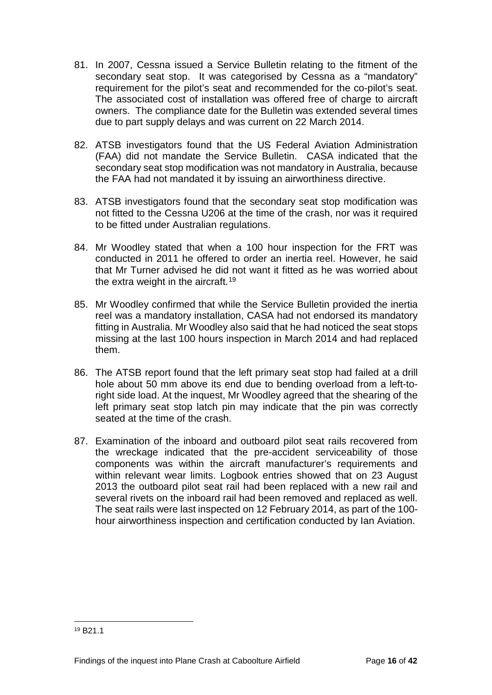- 81. In 2007, Cessna issued a Service Bulletin relating to the fitment of the secondary seat stop. It was categorised by Cessna as a "mandatory" requirement for the pilot's seat and recommended for the co-pilot's seat. The associated cost of installation was offered free of charge to aircraft owners. The compliance date for the Bulletin was extended several times due to part supply delays and was current on 22 March 2014.
- 82. ATSB investigators found that the US Federal Aviation Administration (FAA) did not mandate the Service Bulletin. CASA indicated that the secondary seat stop modification was not mandatory in Australia, because the FAA had not mandated it by issuing an airworthiness directive.
- 83. ATSB investigators found that the secondary seat stop modification was not fitted to the Cessna U206 at the time of the crash, nor was it required to be fitted under Australian regulations.
- 84. Mr Woodley stated that when a 100 hour inspection for the FRT was conducted in 2011 he offered to order an inertia reel. However, he said that Mr Turner advised he did not want it fitted as he was worried about the extra weight in the aircraft.<sup>19</sup>
- 85. Mr Woodley confirmed that while the Service Bulletin provided the inertia reel was a mandatory installation, CASA had not endorsed its mandatory fitting in Australia. Mr Woodley also said that he had noticed the seat stops missing at the last 100 hours inspection in March 2014 and had replaced them.
- 86. The ATSB report found that the left primary seat stop had failed at a drill hole about 50 mm above its end due to bending overload from a left-toright side load. At the inquest, Mr Woodley agreed that the shearing of the left primary seat stop latch pin may indicate that the pin was correctly seated at the time of the crash.
- 87. Examination of the inboard and outboard pilot seat rails recovered from the wreckage indicated that the pre-accident serviceability of those components was within the aircraft manufacturer's requirements and within relevant wear limits. Logbook entries showed that on 23 August 2013 the outboard pilot seat rail had been replaced with a new rail and several rivets on the inboard rail had been removed and replaced as well. The seat rails were last inspected on 12 February 2014, as part of the 100 hour airworthiness inspection and certification conducted by Ian Aviation.

 $\overline{a}$ 

<span id="page-18-0"></span><sup>19</sup> B21.1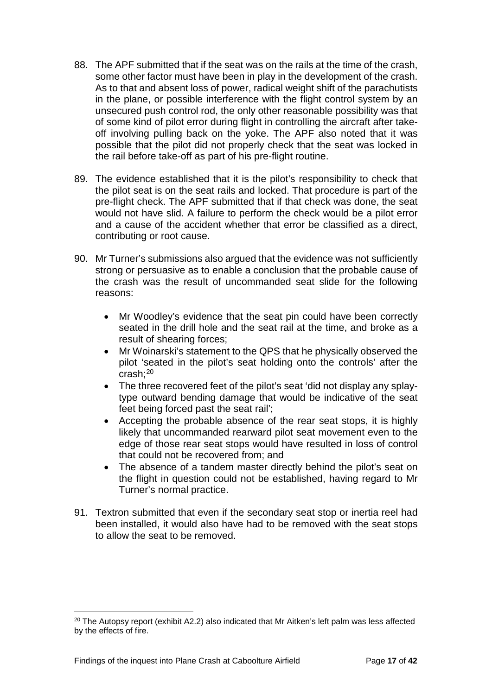- 88. The APF submitted that if the seat was on the rails at the time of the crash, some other factor must have been in play in the development of the crash. As to that and absent loss of power, radical weight shift of the parachutists in the plane, or possible interference with the flight control system by an unsecured push control rod, the only other reasonable possibility was that of some kind of pilot error during flight in controlling the aircraft after takeoff involving pulling back on the yoke. The APF also noted that it was possible that the pilot did not properly check that the seat was locked in the rail before take-off as part of his pre-flight routine.
- 89. The evidence established that it is the pilot's responsibility to check that the pilot seat is on the seat rails and locked. That procedure is part of the pre-flight check. The APF submitted that if that check was done, the seat would not have slid. A failure to perform the check would be a pilot error and a cause of the accident whether that error be classified as a direct, contributing or root cause.
- 90. Mr Turner's submissions also argued that the evidence was not sufficiently strong or persuasive as to enable a conclusion that the probable cause of the crash was the result of uncommanded seat slide for the following reasons:
	- Mr Woodley's evidence that the seat pin could have been correctly seated in the drill hole and the seat rail at the time, and broke as a result of shearing forces;
	- Mr Woinarski's statement to the QPS that he physically observed the pilot 'seated in the pilot's seat holding onto the controls' after the crash; [20](#page-19-0)
	- The three recovered feet of the pilot's seat 'did not display any splaytype outward bending damage that would be indicative of the seat feet being forced past the seat rail';
	- Accepting the probable absence of the rear seat stops, it is highly likely that uncommanded rearward pilot seat movement even to the edge of those rear seat stops would have resulted in loss of control that could not be recovered from; and
	- The absence of a tandem master directly behind the pilot's seat on the flight in question could not be established, having regard to Mr Turner's normal practice.
- 91. Textron submitted that even if the secondary seat stop or inertia reel had been installed, it would also have had to be removed with the seat stops to allow the seat to be removed.

 $\overline{a}$ 

<span id="page-19-0"></span> $20$  The Autopsy report (exhibit A2.2) also indicated that Mr Aitken's left palm was less affected by the effects of fire.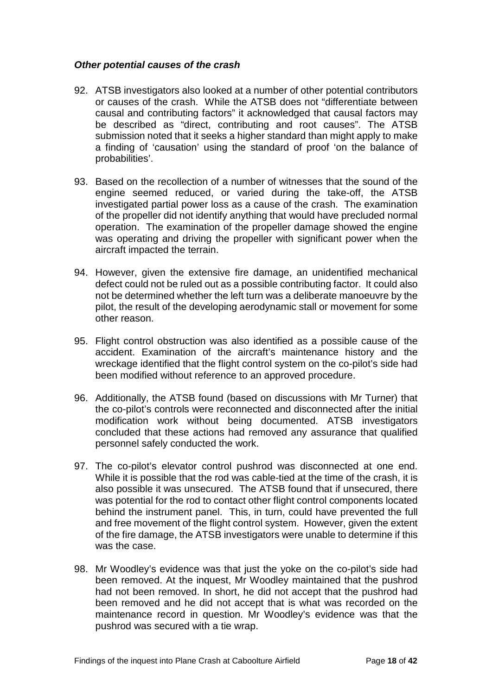#### <span id="page-20-0"></span>*Other potential causes of the crash*

- 92. ATSB investigators also looked at a number of other potential contributors or causes of the crash. While the ATSB does not "differentiate between causal and contributing factors" it acknowledged that causal factors may be described as "direct, contributing and root causes". The ATSB submission noted that it seeks a higher standard than might apply to make a finding of 'causation' using the standard of proof 'on the balance of probabilities'.
- 93. Based on the recollection of a number of witnesses that the sound of the engine seemed reduced, or varied during the take-off, the ATSB investigated partial power loss as a cause of the crash. The examination of the propeller did not identify anything that would have precluded normal operation. The examination of the propeller damage showed the engine was operating and driving the propeller with significant power when the aircraft impacted the terrain.
- 94. However, given the extensive fire damage, an unidentified mechanical defect could not be ruled out as a possible contributing factor. It could also not be determined whether the left turn was a deliberate manoeuvre by the pilot, the result of the developing aerodynamic stall or movement for some other reason.
- 95. Flight control obstruction was also identified as a possible cause of the accident. Examination of the aircraft's maintenance history and the wreckage identified that the flight control system on the co-pilot's side had been modified without reference to an approved procedure.
- 96. Additionally, the ATSB found (based on discussions with Mr Turner) that the co-pilot's controls were reconnected and disconnected after the initial modification work without being documented. ATSB investigators concluded that these actions had removed any assurance that qualified personnel safely conducted the work.
- 97. The co-pilot's elevator control pushrod was disconnected at one end. While it is possible that the rod was cable-tied at the time of the crash, it is also possible it was unsecured. The ATSB found that if unsecured, there was potential for the rod to contact other flight control components located behind the instrument panel. This, in turn, could have prevented the full and free movement of the flight control system. However, given the extent of the fire damage, the ATSB investigators were unable to determine if this was the case.
- 98. Mr Woodley's evidence was that just the yoke on the co-pilot's side had been removed. At the inquest, Mr Woodley maintained that the pushrod had not been removed. In short, he did not accept that the pushrod had been removed and he did not accept that is what was recorded on the maintenance record in question. Mr Woodley's evidence was that the pushrod was secured with a tie wrap.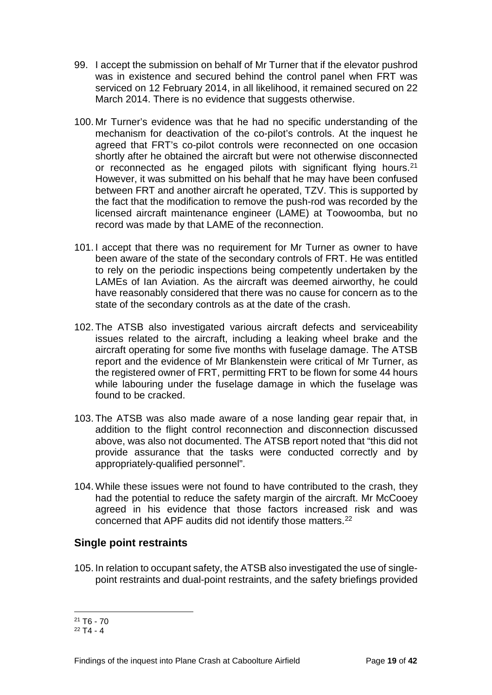- 99. I accept the submission on behalf of Mr Turner that if the elevator pushrod was in existence and secured behind the control panel when FRT was serviced on 12 February 2014, in all likelihood, it remained secured on 22 March 2014. There is no evidence that suggests otherwise.
- 100. Mr Turner's evidence was that he had no specific understanding of the mechanism for deactivation of the co-pilot's controls. At the inquest he agreed that FRT's co-pilot controls were reconnected on one occasion shortly after he obtained the aircraft but were not otherwise disconnected or reconnected as he engaged pilots with significant flying hours.<sup>[21](#page-21-1)</sup> However, it was submitted on his behalf that he may have been confused between FRT and another aircraft he operated, TZV. This is supported by the fact that the modification to remove the push-rod was recorded by the licensed aircraft maintenance engineer (LAME) at Toowoomba, but no record was made by that LAME of the reconnection.
- 101. I accept that there was no requirement for Mr Turner as owner to have been aware of the state of the secondary controls of FRT. He was entitled to rely on the periodic inspections being competently undertaken by the LAMEs of Ian Aviation. As the aircraft was deemed airworthy, he could have reasonably considered that there was no cause for concern as to the state of the secondary controls as at the date of the crash.
- 102. The ATSB also investigated various aircraft defects and serviceability issues related to the aircraft, including a leaking wheel brake and the aircraft operating for some five months with fuselage damage. The ATSB report and the evidence of Mr Blankenstein were critical of Mr Turner, as the registered owner of FRT, permitting FRT to be flown for some 44 hours while labouring under the fuselage damage in which the fuselage was found to be cracked.
- 103. The ATSB was also made aware of a nose landing gear repair that, in addition to the flight control reconnection and disconnection discussed above, was also not documented. The ATSB report noted that "this did not provide assurance that the tasks were conducted correctly and by appropriately-qualified personnel".
- 104. While these issues were not found to have contributed to the crash, they had the potential to reduce the safety margin of the aircraft. Mr McCooey agreed in his evidence that those factors increased risk and was concerned that APF audits did not identify those matters[.22](#page-21-2)

#### <span id="page-21-0"></span>**Single point restraints**

105. In relation to occupant safety, the ATSB also investigated the use of singlepoint restraints and dual-point restraints, and the safety briefings provided

 $\overline{a}$ 

<span id="page-21-1"></span> $21 T6 - 70$ 

<span id="page-21-2"></span> $22$  T4 - 4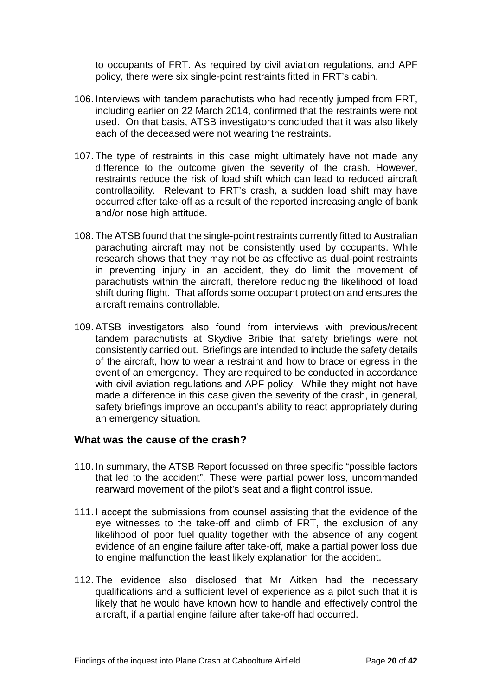to occupants of FRT. As required by civil aviation regulations, and APF policy, there were six single-point restraints fitted in FRT's cabin.

- 106. Interviews with tandem parachutists who had recently jumped from FRT, including earlier on 22 March 2014, confirmed that the restraints were not used. On that basis, ATSB investigators concluded that it was also likely each of the deceased were not wearing the restraints.
- 107. The type of restraints in this case might ultimately have not made any difference to the outcome given the severity of the crash. However, restraints reduce the risk of load shift which can lead to reduced aircraft controllability. Relevant to FRT's crash, a sudden load shift may have occurred after take-off as a result of the reported increasing angle of bank and/or nose high attitude.
- 108. The ATSB found that the single-point restraints currently fitted to Australian parachuting aircraft may not be consistently used by occupants. While research shows that they may not be as effective as dual-point restraints in preventing injury in an accident, they do limit the movement of parachutists within the aircraft, therefore reducing the likelihood of load shift during flight. That affords some occupant protection and ensures the aircraft remains controllable.
- 109. ATSB investigators also found from interviews with previous/recent tandem parachutists at Skydive Bribie that safety briefings were not consistently carried out. Briefings are intended to include the safety details of the aircraft, how to wear a restraint and how to brace or egress in the event of an emergency. They are required to be conducted in accordance with civil aviation regulations and APF policy. While they might not have made a difference in this case given the severity of the crash, in general, safety briefings improve an occupant's ability to react appropriately during an emergency situation.

#### <span id="page-22-0"></span>**What was the cause of the crash?**

- 110. In summary, the ATSB Report focussed on three specific "possible factors that led to the accident". These were partial power loss, uncommanded rearward movement of the pilot's seat and a flight control issue.
- 111. I accept the submissions from counsel assisting that the evidence of the eye witnesses to the take-off and climb of FRT, the exclusion of any likelihood of poor fuel quality together with the absence of any cogent evidence of an engine failure after take-off, make a partial power loss due to engine malfunction the least likely explanation for the accident.
- 112. The evidence also disclosed that Mr Aitken had the necessary qualifications and a sufficient level of experience as a pilot such that it is likely that he would have known how to handle and effectively control the aircraft, if a partial engine failure after take-off had occurred.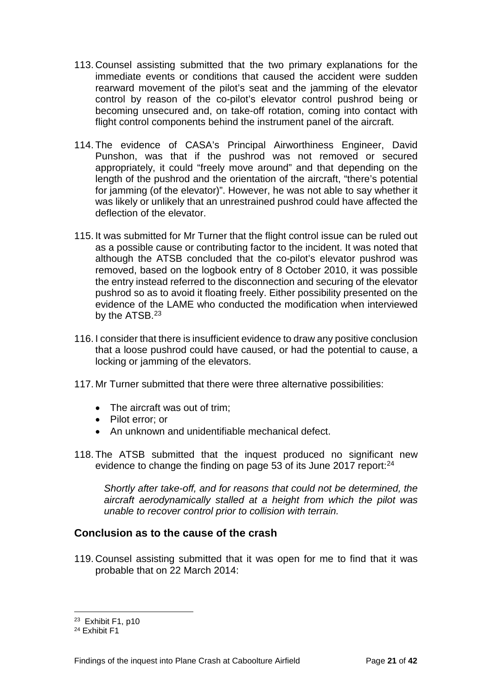- 113. Counsel assisting submitted that the two primary explanations for the immediate events or conditions that caused the accident were sudden rearward movement of the pilot's seat and the jamming of the elevator control by reason of the co-pilot's elevator control pushrod being or becoming unsecured and, on take-off rotation, coming into contact with flight control components behind the instrument panel of the aircraft.
- 114. The evidence of CASA's Principal Airworthiness Engineer, David Punshon, was that if the pushrod was not removed or secured appropriately, it could "freely move around" and that depending on the length of the pushrod and the orientation of the aircraft, "there's potential for jamming (of the elevator)". However, he was not able to say whether it was likely or unlikely that an unrestrained pushrod could have affected the deflection of the elevator.
- 115. It was submitted for Mr Turner that the flight control issue can be ruled out as a possible cause or contributing factor to the incident. It was noted that although the ATSB concluded that the co-pilot's elevator pushrod was removed, based on the logbook entry of 8 October 2010, it was possible the entry instead referred to the disconnection and securing of the elevator pushrod so as to avoid it floating freely. Either possibility presented on the evidence of the LAME who conducted the modification when interviewed by the ATSB.<sup>[23](#page-23-1)</sup>
- 116. I consider that there is insufficient evidence to draw any positive conclusion that a loose pushrod could have caused, or had the potential to cause, a locking or jamming of the elevators.
- 117. Mr Turner submitted that there were three alternative possibilities:
	- The aircraft was out of trim;
	- Pilot error; or
	- An unknown and unidentifiable mechanical defect.
- 118. The ATSB submitted that the inquest produced no significant new evidence to change the finding on page 53 of its June 2017 report:<sup>[24](#page-23-2)</sup>

*Shortly after take-off, and for reasons that could not be determined, the aircraft aerodynamically stalled at a height from which the pilot was unable to recover control prior to collision with terrain.*

#### <span id="page-23-0"></span>**Conclusion as to the cause of the crash**

119. Counsel assisting submitted that it was open for me to find that it was probable that on 22 March 2014:

 $\overline{a}$ 

<span id="page-23-1"></span><sup>23</sup> Exhibit F1, p10

<span id="page-23-2"></span><sup>24</sup> Exhibit F1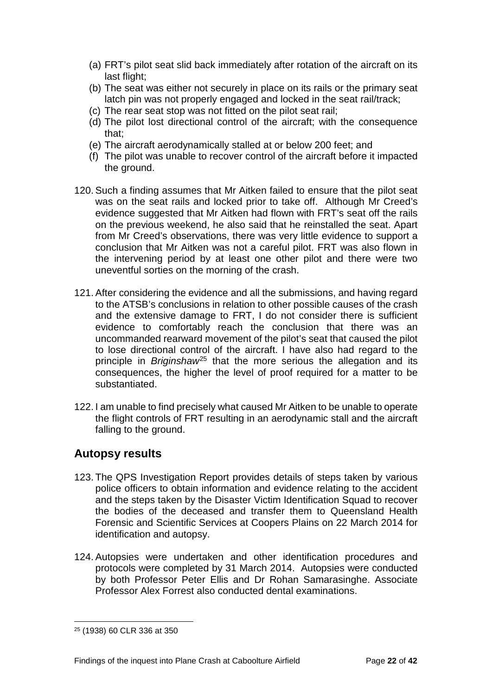- (a) FRT's pilot seat slid back immediately after rotation of the aircraft on its last flight;
- (b) The seat was either not securely in place on its rails or the primary seat latch pin was not properly engaged and locked in the seat rail/track;
- (c) The rear seat stop was not fitted on the pilot seat rail;
- (d) The pilot lost directional control of the aircraft; with the consequence that;
- (e) The aircraft aerodynamically stalled at or below 200 feet; and
- (f) The pilot was unable to recover control of the aircraft before it impacted the ground.
- 120. Such a finding assumes that Mr Aitken failed to ensure that the pilot seat was on the seat rails and locked prior to take off. Although Mr Creed's evidence suggested that Mr Aitken had flown with FRT's seat off the rails on the previous weekend, he also said that he reinstalled the seat. Apart from Mr Creed's observations, there was very little evidence to support a conclusion that Mr Aitken was not a careful pilot. FRT was also flown in the intervening period by at least one other pilot and there were two uneventful sorties on the morning of the crash.
- 121. After considering the evidence and all the submissions, and having regard to the ATSB's conclusions in relation to other possible causes of the crash and the extensive damage to FRT, I do not consider there is sufficient evidence to comfortably reach the conclusion that there was an uncommanded rearward movement of the pilot's seat that caused the pilot to lose directional control of the aircraft. I have also had regard to the principle in *Briginshaw*[25](#page-24-1) that the more serious the allegation and its consequences, the higher the level of proof required for a matter to be substantiated.
- 122. I am unable to find precisely what caused Mr Aitken to be unable to operate the flight controls of FRT resulting in an aerodynamic stall and the aircraft falling to the ground.

## <span id="page-24-0"></span>**Autopsy results**

- 123. The QPS Investigation Report provides details of steps taken by various police officers to obtain information and evidence relating to the accident and the steps taken by the Disaster Victim Identification Squad to recover the bodies of the deceased and transfer them to Queensland Health Forensic and Scientific Services at Coopers Plains on 22 March 2014 for identification and autopsy.
- 124. Autopsies were undertaken and other identification procedures and protocols were completed by 31 March 2014. Autopsies were conducted by both Professor Peter Ellis and Dr Rohan Samarasinghe. Associate Professor Alex Forrest also conducted dental examinations.

<span id="page-24-1"></span><sup>25</sup> (1938) 60 CLR 336 at 350  $\overline{a}$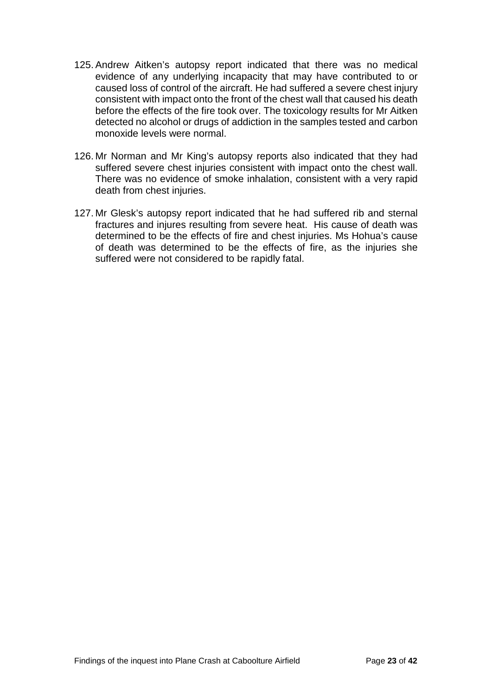- 125. Andrew Aitken's autopsy report indicated that there was no medical evidence of any underlying incapacity that may have contributed to or caused loss of control of the aircraft. He had suffered a severe chest injury consistent with impact onto the front of the chest wall that caused his death before the effects of the fire took over. The toxicology results for Mr Aitken detected no alcohol or drugs of addiction in the samples tested and carbon monoxide levels were normal.
- 126. Mr Norman and Mr King's autopsy reports also indicated that they had suffered severe chest injuries consistent with impact onto the chest wall. There was no evidence of smoke inhalation, consistent with a very rapid death from chest injuries.
- 127. Mr Glesk's autopsy report indicated that he had suffered rib and sternal fractures and injures resulting from severe heat. His cause of death was determined to be the effects of fire and chest injuries. Ms Hohua's cause of death was determined to be the effects of fire, as the injuries she suffered were not considered to be rapidly fatal.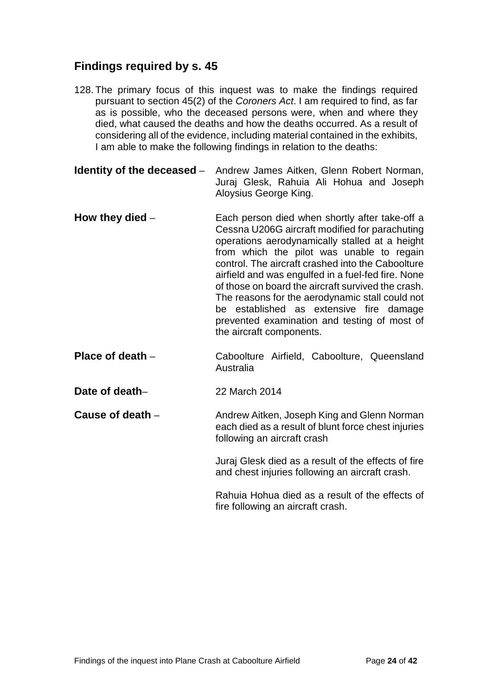## <span id="page-26-0"></span>**Findings required by s. 45**

- 128. The primary focus of this inquest was to make the findings required pursuant to section 45(2) of the *Coroners Act*. I am required to find, as far as is possible, who the deceased persons were, when and where they died, what caused the deaths and how the deaths occurred. As a result of considering all of the evidence, including material contained in the exhibits, I am able to make the following findings in relation to the deaths:
- <span id="page-26-1"></span>**Identity of the deceased** – Andrew James Aitken, Glenn Robert Norman, Juraj Glesk, Rahuia Ali Hohua and Joseph Aloysius George King.
- <span id="page-26-2"></span>**How they died** – Each person died when shortly after take-off a Cessna U206G aircraft modified for parachuting operations aerodynamically stalled at a height from which the pilot was unable to regain control. The aircraft crashed into the Caboolture airfield and was engulfed in a fuel-fed fire. None of those on board the aircraft survived the crash. The reasons for the aerodynamic stall could not be established as extensive fire damage prevented examination and testing of most of the aircraft components.
- <span id="page-26-3"></span>**Place of death** – Caboolture Airfield, Caboolture, Queensland Australia
- <span id="page-26-4"></span>**Date of death–** 22 March 2014
- <span id="page-26-5"></span>**Cause of death** – **Andrew Aitken, Joseph King and Glenn Norman** each died as a result of blunt force chest injuries following an aircraft crash

Juraj Glesk died as a result of the effects of fire and chest injuries following an aircraft crash.

Rahuia Hohua died as a result of the effects of fire following an aircraft crash.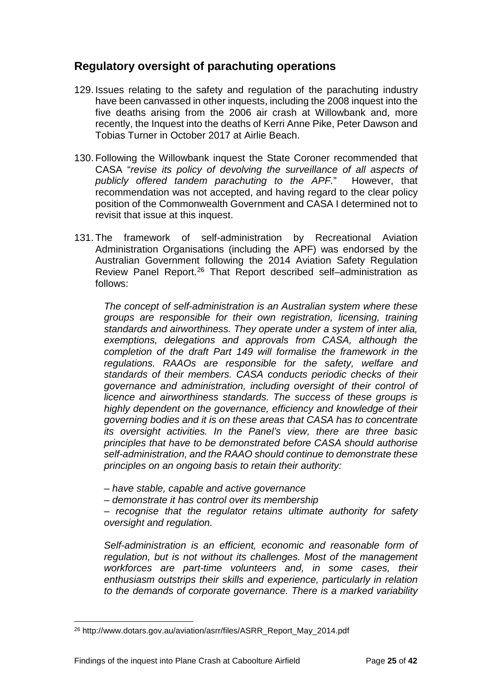## <span id="page-27-0"></span>**Regulatory oversight of parachuting operations**

- 129. Issues relating to the safety and regulation of the parachuting industry have been canvassed in other inquests, including the 2008 inquest into the five deaths arising from the 2006 air crash at Willowbank and, more recently, the Inquest into the deaths of Kerri Anne Pike, Peter Dawson and Tobias Turner in October 2017 at Airlie Beach.
- 130. Following the Willowbank inquest the State Coroner recommended that CASA "*revise its policy of devolving the surveillance of all aspects of publicly offered tandem parachuting to the APF.*" However, that recommendation was not accepted, and having regard to the clear policy position of the Commonwealth Government and CASA I determined not to revisit that issue at this inquest.
- 131. The framework of self-administration by Recreational Aviation Administration Organisations (including the APF) was endorsed by the Australian Government following the 2014 Aviation Safety Regulation Review Panel Report. [26](#page-27-1) That Report described self–administration as follows:

*The concept of self-administration is an Australian system where these groups are responsible for their own registration, licensing, training standards and airworthiness. They operate under a system of inter alia, exemptions, delegations and approvals from CASA, although the completion of the draft Part 149 will formalise the framework in the regulations. RAAOs are responsible for the safety, welfare and standards of their members. CASA conducts periodic checks of their governance and administration, including oversight of their control of licence and airworthiness standards. The success of these groups is highly dependent on the governance, efficiency and knowledge of their governing bodies and it is on these areas that CASA has to concentrate its oversight activities. In the Panel's view, there are three basic principles that have to be demonstrated before CASA should authorise self-administration, and the RAAO should continue to demonstrate these principles on an ongoing basis to retain their authority:* 

- *– have stable, capable and active governance*
- *– demonstrate it has control over its membership*

*– recognise that the regulator retains ultimate authority for safety oversight and regulation.* 

*Self-administration is an efficient, economic and reasonable form of regulation, but is not without its challenges. Most of the management workforces are part-time volunteers and, in some cases, their enthusiasm outstrips their skills and experience, particularly in relation to the demands of corporate governance. There is a marked variability* 

<span id="page-27-1"></span><sup>26</sup> http://www.dotars.gov.au/aviation/asrr/files/ASRR\_Report\_May\_2014.pdf  $\overline{a}$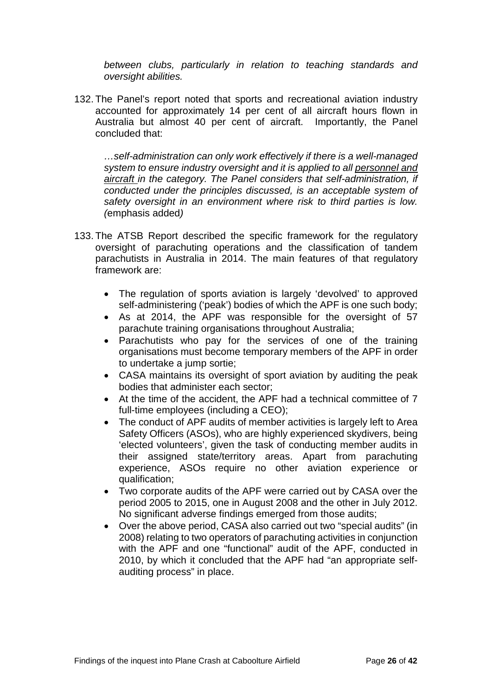*between clubs, particularly in relation to teaching standards and oversight abilities.* 

132. The Panel's report noted that sports and recreational aviation industry accounted for approximately 14 per cent of all aircraft hours flown in Australia but almost 40 per cent of aircraft. Importantly, the Panel concluded that:

*…self-administration can only work effectively if there is a well-managed system to ensure industry oversight and it is applied to all personnel and aircraft in the category. The Panel considers that self-administration, if conducted under the principles discussed, is an acceptable system of safety oversight in an environment where risk to third parties is low. (*emphasis added*)* 

- 133. The ATSB Report described the specific framework for the regulatory oversight of parachuting operations and the classification of tandem parachutists in Australia in 2014. The main features of that regulatory framework are:
	- The regulation of sports aviation is largely 'devolved' to approved self-administering ('peak') bodies of which the APF is one such body;
	- As at 2014, the APF was responsible for the oversight of 57 parachute training organisations throughout Australia;
	- Parachutists who pay for the services of one of the training organisations must become temporary members of the APF in order to undertake a jump sortie;
	- CASA maintains its oversight of sport aviation by auditing the peak bodies that administer each sector;
	- At the time of the accident, the APF had a technical committee of 7 full-time employees (including a CEO);
	- The conduct of APF audits of member activities is largely left to Area Safety Officers (ASOs), who are highly experienced skydivers, being 'elected volunteers', given the task of conducting member audits in their assigned state/territory areas. Apart from parachuting experience, ASOs require no other aviation experience or qualification;
	- Two corporate audits of the APF were carried out by CASA over the period 2005 to 2015, one in August 2008 and the other in July 2012. No significant adverse findings emerged from those audits;
	- Over the above period, CASA also carried out two "special audits" (in 2008) relating to two operators of parachuting activities in conjunction with the APF and one "functional" audit of the APF, conducted in 2010, by which it concluded that the APF had "an appropriate selfauditing process" in place.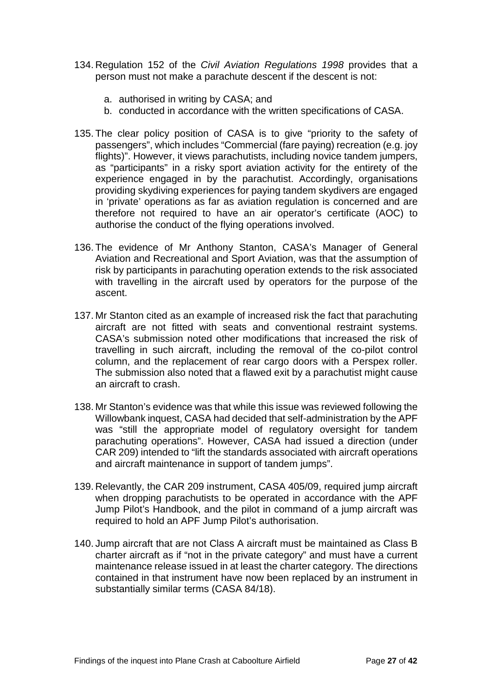- 134. Regulation 152 of the *Civil Aviation Regulations 1998* provides that a person must not make a parachute descent if the descent is not:
	- a. authorised in writing by CASA; and
	- b. conducted in accordance with the written specifications of CASA.
- 135. The clear policy position of CASA is to give "priority to the safety of passengers", which includes "Commercial (fare paying) recreation (e.g. joy flights)". However, it views parachutists, including novice tandem jumpers, as "participants" in a risky sport aviation activity for the entirety of the experience engaged in by the parachutist. Accordingly, organisations providing skydiving experiences for paying tandem skydivers are engaged in 'private' operations as far as aviation regulation is concerned and are therefore not required to have an air operator's certificate (AOC) to authorise the conduct of the flying operations involved.
- 136. The evidence of Mr Anthony Stanton, CASA's Manager of General Aviation and Recreational and Sport Aviation, was that the assumption of risk by participants in parachuting operation extends to the risk associated with travelling in the aircraft used by operators for the purpose of the ascent.
- 137. Mr Stanton cited as an example of increased risk the fact that parachuting aircraft are not fitted with seats and conventional restraint systems. CASA's submission noted other modifications that increased the risk of travelling in such aircraft, including the removal of the co-pilot control column, and the replacement of rear cargo doors with a Perspex roller. The submission also noted that a flawed exit by a parachutist might cause an aircraft to crash.
- 138. Mr Stanton's evidence was that while this issue was reviewed following the Willowbank inquest, CASA had decided that self-administration by the APF was "still the appropriate model of regulatory oversight for tandem parachuting operations". However, CASA had issued a direction (under CAR 209) intended to "lift the standards associated with aircraft operations and aircraft maintenance in support of tandem jumps".
- 139. Relevantly, the CAR 209 instrument, CASA 405/09, required jump aircraft when dropping parachutists to be operated in accordance with the APF Jump Pilot's Handbook, and the pilot in command of a jump aircraft was required to hold an APF Jump Pilot's authorisation.
- 140. Jump aircraft that are not Class A aircraft must be maintained as Class B charter aircraft as if "not in the private category" and must have a current maintenance release issued in at least the charter category. The directions contained in that instrument have now been replaced by an instrument in substantially similar terms (CASA 84/18).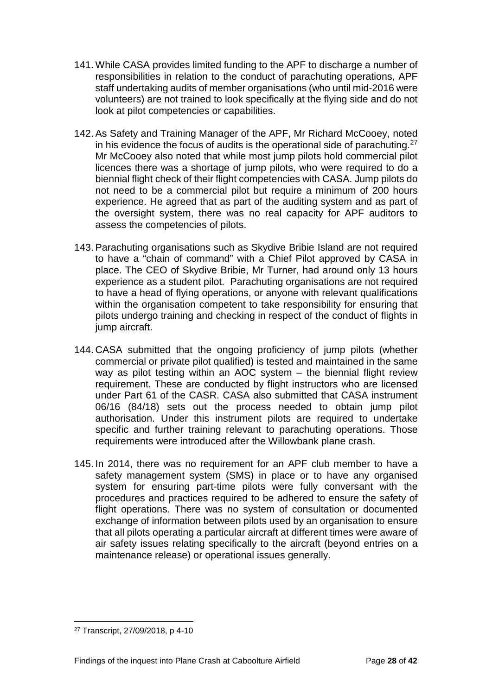- 141. While CASA provides limited funding to the APF to discharge a number of responsibilities in relation to the conduct of parachuting operations, APF staff undertaking audits of member organisations (who until mid-2016 were volunteers) are not trained to look specifically at the flying side and do not look at pilot competencies or capabilities.
- 142. As Safety and Training Manager of the APF, Mr Richard McCooey, noted in his evidence the focus of audits is the operational side of parachuting.[27](#page-30-0) Mr McCooey also noted that while most jump pilots hold commercial pilot licences there was a shortage of jump pilots, who were required to do a biennial flight check of their flight competencies with CASA. Jump pilots do not need to be a commercial pilot but require a minimum of 200 hours experience. He agreed that as part of the auditing system and as part of the oversight system, there was no real capacity for APF auditors to assess the competencies of pilots.
- 143. Parachuting organisations such as Skydive Bribie Island are not required to have a "chain of command" with a Chief Pilot approved by CASA in place. The CEO of Skydive Bribie, Mr Turner, had around only 13 hours experience as a student pilot. Parachuting organisations are not required to have a head of flying operations, or anyone with relevant qualifications within the organisation competent to take responsibility for ensuring that pilots undergo training and checking in respect of the conduct of flights in jump aircraft.
- 144. CASA submitted that the ongoing proficiency of jump pilots (whether commercial or private pilot qualified) is tested and maintained in the same way as pilot testing within an AOC system – the biennial flight review requirement. These are conducted by flight instructors who are licensed under Part 61 of the CASR. CASA also submitted that CASA instrument 06/16 (84/18) sets out the process needed to obtain jump pilot authorisation. Under this instrument pilots are required to undertake specific and further training relevant to parachuting operations. Those requirements were introduced after the Willowbank plane crash.
- 145. In 2014, there was no requirement for an APF club member to have a safety management system (SMS) in place or to have any organised system for ensuring part-time pilots were fully conversant with the procedures and practices required to be adhered to ensure the safety of flight operations. There was no system of consultation or documented exchange of information between pilots used by an organisation to ensure that all pilots operating a particular aircraft at different times were aware of air safety issues relating specifically to the aircraft (beyond entries on a maintenance release) or operational issues generally.

<span id="page-30-0"></span><sup>27</sup> Transcript, 27/09/2018, p 4-10  $\overline{a}$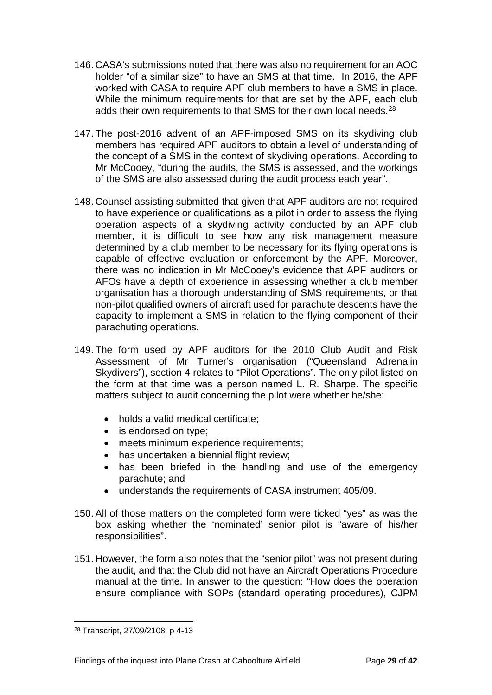- 146. CASA's submissions noted that there was also no requirement for an AOC holder "of a similar size" to have an SMS at that time. In 2016, the APF worked with CASA to require APF club members to have a SMS in place. While the minimum requirements for that are set by the APF, each club adds their own requirements to that SMS for their own local needs.<sup>[28](#page-31-0)</sup>
- 147. The post-2016 advent of an APF-imposed SMS on its skydiving club members has required APF auditors to obtain a level of understanding of the concept of a SMS in the context of skydiving operations. According to Mr McCooey, "during the audits, the SMS is assessed, and the workings of the SMS are also assessed during the audit process each year".
- 148. Counsel assisting submitted that given that APF auditors are not required to have experience or qualifications as a pilot in order to assess the flying operation aspects of a skydiving activity conducted by an APF club member, it is difficult to see how any risk management measure determined by a club member to be necessary for its flying operations is capable of effective evaluation or enforcement by the APF. Moreover, there was no indication in Mr McCooey's evidence that APF auditors or AFOs have a depth of experience in assessing whether a club member organisation has a thorough understanding of SMS requirements, or that non-pilot qualified owners of aircraft used for parachute descents have the capacity to implement a SMS in relation to the flying component of their parachuting operations.
- 149. The form used by APF auditors for the 2010 Club Audit and Risk Assessment of Mr Turner's organisation ("Queensland Adrenalin Skydivers"), section 4 relates to "Pilot Operations". The only pilot listed on the form at that time was a person named L. R. Sharpe. The specific matters subject to audit concerning the pilot were whether he/she:
	- holds a valid medical certificate;
	- is endorsed on type;
	- meets minimum experience requirements;
	- has undertaken a biennial flight review;
	- has been briefed in the handling and use of the emergency parachute; and
	- understands the requirements of CASA instrument 405/09.
- 150. All of those matters on the completed form were ticked "yes" as was the box asking whether the 'nominated' senior pilot is "aware of his/her responsibilities".
- 151. However, the form also notes that the "senior pilot" was not present during the audit, and that the Club did not have an Aircraft Operations Procedure manual at the time. In answer to the question: "How does the operation ensure compliance with SOPs (standard operating procedures), CJPM

<span id="page-31-0"></span><sup>28</sup> Transcript, 27/09/2108, p 4-13  $\overline{a}$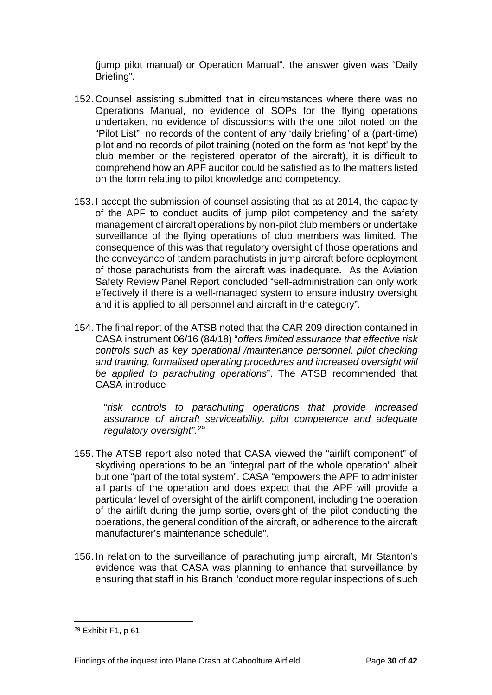(jump pilot manual) or Operation Manual", the answer given was "Daily Briefing".

- 152. Counsel assisting submitted that in circumstances where there was no Operations Manual, no evidence of SOPs for the flying operations undertaken, no evidence of discussions with the one pilot noted on the "Pilot List", no records of the content of any 'daily briefing' of a (part-time) pilot and no records of pilot training (noted on the form as 'not kept' by the club member or the registered operator of the aircraft), it is difficult to comprehend how an APF auditor could be satisfied as to the matters listed on the form relating to pilot knowledge and competency.
- 153. I accept the submission of counsel assisting that as at 2014, the capacity of the APF to conduct audits of jump pilot competency and the safety management of aircraft operations by non-pilot club members or undertake surveillance of the flying operations of club members was limited. The consequence of this was that regulatory oversight of those operations and the conveyance of tandem parachutists in jump aircraft before deployment of those parachutists from the aircraft was inadequate**.** As the Aviation Safety Review Panel Report concluded "self-administration can only work effectively if there is a well-managed system to ensure industry oversight and it is applied to all personnel and aircraft in the category".
- 154. The final report of the ATSB noted that the CAR 209 direction contained in CASA instrument 06/16 (84/18) "*offers limited assurance that effective risk controls such as key operational /maintenance personnel, pilot checking and training, formalised operating procedures and increased oversight will be applied to parachuting operations*". The ATSB recommended that CASA introduce

"*risk controls to parachuting operations that provide increased assurance of aircraft serviceability, pilot competence and adequate regulatory oversight".[29](#page-32-0)*

- 155. The ATSB report also noted that CASA viewed the "airlift component" of skydiving operations to be an "integral part of the whole operation" albeit but one "part of the total system". CASA "empowers the APF to administer all parts of the operation and does expect that the APF will provide a particular level of oversight of the airlift component, including the operation of the airlift during the jump sortie, oversight of the pilot conducting the operations, the general condition of the aircraft, or adherence to the aircraft manufacturer's maintenance schedule".
- 156. In relation to the surveillance of parachuting jump aircraft, Mr Stanton's evidence was that CASA was planning to enhance that surveillance by ensuring that staff in his Branch "conduct more regular inspections of such

<span id="page-32-0"></span><sup>29</sup> Exhibit F1, p 61  $\overline{a}$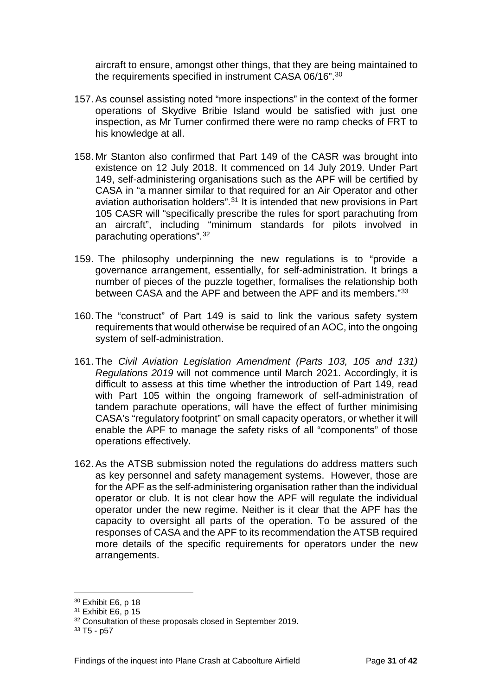aircraft to ensure, amongst other things, that they are being maintained to the requirements specified in instrument CASA 06/16"[.30](#page-33-0)

- 157. As counsel assisting noted "more inspections" in the context of the former operations of Skydive Bribie Island would be satisfied with just one inspection, as Mr Turner confirmed there were no ramp checks of FRT to his knowledge at all.
- 158. Mr Stanton also confirmed that Part 149 of the CASR was brought into existence on 12 July 2018. It commenced on 14 July 2019. Under Part 149, self-administering organisations such as the APF will be certified by CASA in "a manner similar to that required for an Air Operator and other aviation authorisation holders".[31](#page-33-1) It is intended that new provisions in Part 105 CASR will "specifically prescribe the rules for sport parachuting from an aircraft", including "minimum standards for pilots involved in parachuting operations".[32](#page-33-2)
- 159. The philosophy underpinning the new regulations is to "provide a governance arrangement, essentially, for self-administration. It brings a number of pieces of the puzzle together, formalises the relationship both between CASA and the APF and between the APF and its members."[33](#page-33-3)
- 160. The "construct" of Part 149 is said to link the various safety system requirements that would otherwise be required of an AOC, into the ongoing system of self-administration.
- 161. The *Civil Aviation Legislation Amendment (Parts 103, 105 and 131) Regulations 2019* will not commence until March 2021. Accordingly, it is difficult to assess at this time whether the introduction of Part 149, read with Part 105 within the ongoing framework of self-administration of tandem parachute operations, will have the effect of further minimising CASA's "regulatory footprint" on small capacity operators, or whether it will enable the APF to manage the safety risks of all "components" of those operations effectively.
- 162. As the ATSB submission noted the regulations do address matters such as key personnel and safety management systems. However, those are for the APF as the self-administering organisation rather than the individual operator or club. It is not clear how the APF will regulate the individual operator under the new regime. Neither is it clear that the APF has the capacity to oversight all parts of the operation. To be assured of the responses of CASA and the APF to its recommendation the ATSB required more details of the specific requirements for operators under the new arrangements.

 $\overline{a}$ 

<span id="page-33-0"></span><sup>30</sup> Exhibit E6, p 18

<span id="page-33-1"></span><sup>31</sup> Exhibit E6, p 15

<span id="page-33-2"></span><sup>&</sup>lt;sup>32</sup> Consultation of these proposals closed in September 2019.

<span id="page-33-3"></span><sup>33</sup> T5 - p57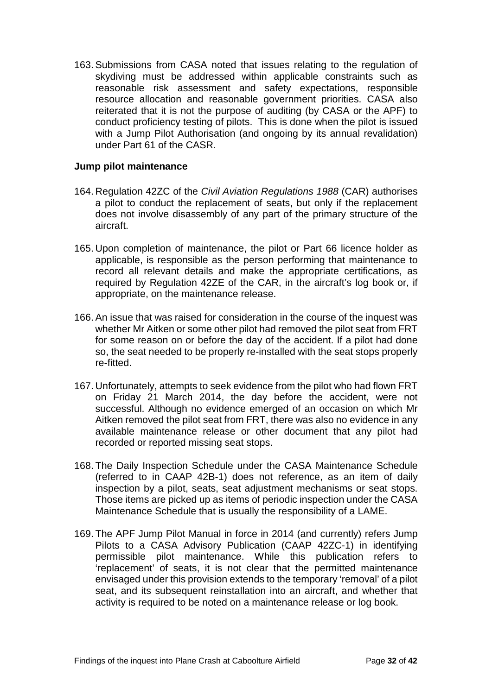163. Submissions from CASA noted that issues relating to the regulation of skydiving must be addressed within applicable constraints such as reasonable risk assessment and safety expectations, responsible resource allocation and reasonable government priorities. CASA also reiterated that it is not the purpose of auditing (by CASA or the APF) to conduct proficiency testing of pilots. This is done when the pilot is issued with a Jump Pilot Authorisation (and ongoing by its annual revalidation) under Part 61 of the CASR.

#### <span id="page-34-0"></span>**Jump pilot maintenance**

- 164. Regulation 42ZC of the *Civil Aviation Regulations 1988* (CAR) authorises a pilot to conduct the replacement of seats, but only if the replacement does not involve disassembly of any part of the primary structure of the aircraft.
- 165. Upon completion of maintenance, the pilot or Part 66 licence holder as applicable, is responsible as the person performing that maintenance to record all relevant details and make the appropriate certifications, as required by Regulation 42ZE of the CAR, in the aircraft's log book or, if appropriate, on the maintenance release.
- 166. An issue that was raised for consideration in the course of the inquest was whether Mr Aitken or some other pilot had removed the pilot seat from FRT for some reason on or before the day of the accident. If a pilot had done so, the seat needed to be properly re-installed with the seat stops properly re-fitted.
- 167. Unfortunately, attempts to seek evidence from the pilot who had flown FRT on Friday 21 March 2014, the day before the accident, were not successful. Although no evidence emerged of an occasion on which Mr Aitken removed the pilot seat from FRT, there was also no evidence in any available maintenance release or other document that any pilot had recorded or reported missing seat stops.
- 168. The Daily Inspection Schedule under the CASA Maintenance Schedule (referred to in CAAP 42B-1) does not reference, as an item of daily inspection by a pilot, seats, seat adjustment mechanisms or seat stops. Those items are picked up as items of periodic inspection under the CASA Maintenance Schedule that is usually the responsibility of a LAME.
- 169. The APF Jump Pilot Manual in force in 2014 (and currently) refers Jump Pilots to a CASA Advisory Publication (CAAP 42ZC-1) in identifying permissible pilot maintenance. While this publication refers to 'replacement' of seats, it is not clear that the permitted maintenance envisaged under this provision extends to the temporary 'removal' of a pilot seat, and its subsequent reinstallation into an aircraft, and whether that activity is required to be noted on a maintenance release or log book.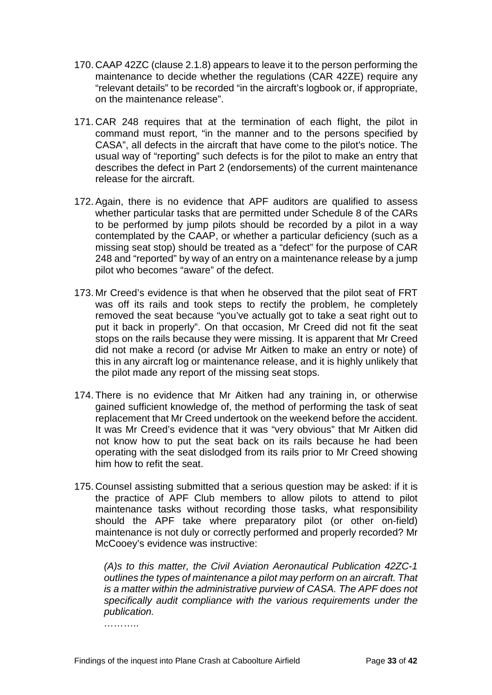- 170. CAAP 42ZC (clause 2.1.8) appears to leave it to the person performing the maintenance to decide whether the regulations (CAR 42ZE) require any "relevant details" to be recorded "in the aircraft's logbook or, if appropriate, on the maintenance release".
- 171. CAR 248 requires that at the termination of each flight, the pilot in command must report, "in the manner and to the persons specified by CASA", all defects in the aircraft that have come to the pilot's notice. The usual way of "reporting" such defects is for the pilot to make an entry that describes the defect in Part 2 (endorsements) of the current maintenance release for the aircraft.
- 172. Again, there is no evidence that APF auditors are qualified to assess whether particular tasks that are permitted under Schedule 8 of the CARs to be performed by jump pilots should be recorded by a pilot in a way contemplated by the CAAP, or whether a particular deficiency (such as a missing seat stop) should be treated as a "defect" for the purpose of CAR 248 and "reported" by way of an entry on a maintenance release by a jump pilot who becomes "aware" of the defect.
- 173. Mr Creed's evidence is that when he observed that the pilot seat of FRT was off its rails and took steps to rectify the problem, he completely removed the seat because "you've actually got to take a seat right out to put it back in properly". On that occasion, Mr Creed did not fit the seat stops on the rails because they were missing. It is apparent that Mr Creed did not make a record (or advise Mr Aitken to make an entry or note) of this in any aircraft log or maintenance release, and it is highly unlikely that the pilot made any report of the missing seat stops.
- 174. There is no evidence that Mr Aitken had any training in, or otherwise gained sufficient knowledge of, the method of performing the task of seat replacement that Mr Creed undertook on the weekend before the accident. It was Mr Creed's evidence that it was "very obvious" that Mr Aitken did not know how to put the seat back on its rails because he had been operating with the seat dislodged from its rails prior to Mr Creed showing him how to refit the seat.
- 175. Counsel assisting submitted that a serious question may be asked: if it is the practice of APF Club members to allow pilots to attend to pilot maintenance tasks without recording those tasks, what responsibility should the APF take where preparatory pilot (or other on-field) maintenance is not duly or correctly performed and properly recorded? Mr McCooey's evidence was instructive:

*(A)s to this matter, the Civil Aviation Aeronautical Publication 42ZC-1 outlines the types of maintenance a pilot may perform on an aircraft. That is a matter within the administrative purview of CASA. The APF does not specifically audit compliance with the various requirements under the publication.* 

*………..*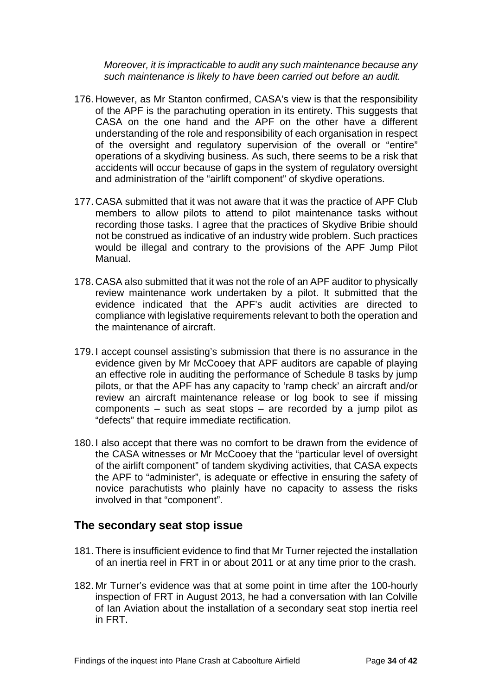*Moreover, it is impracticable to audit any such maintenance because any such maintenance is likely to have been carried out before an audit.*

- 176. However, as Mr Stanton confirmed, CASA's view is that the responsibility of the APF is the parachuting operation in its entirety. This suggests that CASA on the one hand and the APF on the other have a different understanding of the role and responsibility of each organisation in respect of the oversight and regulatory supervision of the overall or "entire" operations of a skydiving business. As such, there seems to be a risk that accidents will occur because of gaps in the system of regulatory oversight and administration of the "airlift component" of skydive operations.
- 177. CASA submitted that it was not aware that it was the practice of APF Club members to allow pilots to attend to pilot maintenance tasks without recording those tasks. I agree that the practices of Skydive Bribie should not be construed as indicative of an industry wide problem. Such practices would be illegal and contrary to the provisions of the APF Jump Pilot Manual.
- 178. CASA also submitted that it was not the role of an APF auditor to physically review maintenance work undertaken by a pilot. It submitted that the evidence indicated that the APF's audit activities are directed to compliance with legislative requirements relevant to both the operation and the maintenance of aircraft.
- 179. I accept counsel assisting's submission that there is no assurance in the evidence given by Mr McCooey that APF auditors are capable of playing an effective role in auditing the performance of Schedule 8 tasks by jump pilots, or that the APF has any capacity to 'ramp check' an aircraft and/or review an aircraft maintenance release or log book to see if missing components – such as seat stops – are recorded by a jump pilot as "defects" that require immediate rectification.
- 180. I also accept that there was no comfort to be drawn from the evidence of the CASA witnesses or Mr McCooey that the "particular level of oversight of the airlift component" of tandem skydiving activities, that CASA expects the APF to "administer", is adequate or effective in ensuring the safety of novice parachutists who plainly have no capacity to assess the risks involved in that "component".

#### <span id="page-36-0"></span>**The secondary seat stop issue**

- 181. There is insufficient evidence to find that Mr Turner rejected the installation of an inertia reel in FRT in or about 2011 or at any time prior to the crash.
- 182. Mr Turner's evidence was that at some point in time after the 100-hourly inspection of FRT in August 2013, he had a conversation with Ian Colville of Ian Aviation about the installation of a secondary seat stop inertia reel in FRT.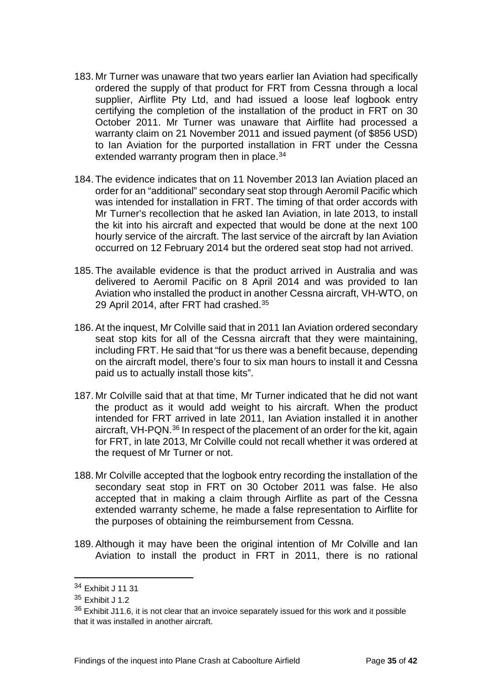- 183. Mr Turner was unaware that two years earlier Ian Aviation had specifically ordered the supply of that product for FRT from Cessna through a local supplier, Airflite Pty Ltd, and had issued a loose leaf logbook entry certifying the completion of the installation of the product in FRT on 30 October 2011. Mr Turner was unaware that Airflite had processed a warranty claim on 21 November 2011 and issued payment (of \$856 USD) to Ian Aviation for the purported installation in FRT under the Cessna extended warranty program then in place.<sup>34</sup>
- 184. The evidence indicates that on 11 November 2013 Ian Aviation placed an order for an "additional" secondary seat stop through Aeromil Pacific which was intended for installation in FRT. The timing of that order accords with Mr Turner's recollection that he asked Ian Aviation, in late 2013, to install the kit into his aircraft and expected that would be done at the next 100 hourly service of the aircraft. The last service of the aircraft by Ian Aviation occurred on 12 February 2014 but the ordered seat stop had not arrived.
- 185. The available evidence is that the product arrived in Australia and was delivered to Aeromil Pacific on 8 April 2014 and was provided to Ian Aviation who installed the product in another Cessna aircraft, VH-WTO, on 29 April 2014, after FRT had crashed. [35](#page-37-1)
- 186. At the inquest, Mr Colville said that in 2011 Ian Aviation ordered secondary seat stop kits for all of the Cessna aircraft that they were maintaining, including FRT. He said that "for us there was a benefit because, depending on the aircraft model, there's four to six man hours to install it and Cessna paid us to actually install those kits".
- 187. Mr Colville said that at that time, Mr Turner indicated that he did not want the product as it would add weight to his aircraft. When the product intended for FRT arrived in late 2011, Ian Aviation installed it in another aircraft, VH-PQN.<sup>[36](#page-37-2)</sup> In respect of the placement of an order for the kit, again for FRT, in late 2013, Mr Colville could not recall whether it was ordered at the request of Mr Turner or not.
- 188. Mr Colville accepted that the logbook entry recording the installation of the secondary seat stop in FRT on 30 October 2011 was false. He also accepted that in making a claim through Airflite as part of the Cessna extended warranty scheme, he made a false representation to Airflite for the purposes of obtaining the reimbursement from Cessna.
- 189. Although it may have been the original intention of Mr Colville and Ian Aviation to install the product in FRT in 2011, there is no rational

 $\overline{a}$ 

<span id="page-37-0"></span><sup>34</sup> Exhibit J 11 31

<span id="page-37-1"></span><sup>35</sup> Exhibit J 1.2

<span id="page-37-2"></span><sup>36</sup> Exhibit J11.6, it is not clear that an invoice separately issued for this work and it possible that it was installed in another aircraft.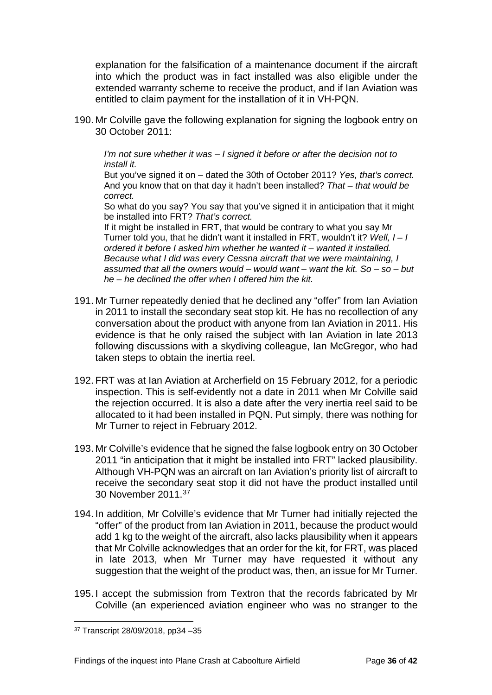explanation for the falsification of a maintenance document if the aircraft into which the product was in fact installed was also eligible under the extended warranty scheme to receive the product, and if Ian Aviation was entitled to claim payment for the installation of it in VH-PQN.

190. Mr Colville gave the following explanation for signing the logbook entry on 30 October 2011:

*I'm not sure whether it was – I signed it before or after the decision not to install it.* 

But you've signed it on – dated the 30th of October 2011? *Yes, that's correct.*  And you know that on that day it hadn't been installed? *That – that would be correct.* 

So what do you say? You say that you've signed it in anticipation that it might be installed into FRT? *That's correct.* 

If it might be installed in FRT, that would be contrary to what you say Mr Turner told you, that he didn't want it installed in FRT, wouldn't it? *Well, I – I ordered it before I asked him whether he wanted it – wanted it installed. Because what I did was every Cessna aircraft that we were maintaining, I assumed that all the owners would – would want – want the kit. So – so – but he – he declined the offer when I offered him the kit.* 

- 191. Mr Turner repeatedly denied that he declined any "offer" from Ian Aviation in 2011 to install the secondary seat stop kit. He has no recollection of any conversation about the product with anyone from Ian Aviation in 2011. His evidence is that he only raised the subject with Ian Aviation in late 2013 following discussions with a skydiving colleague, Ian McGregor, who had taken steps to obtain the inertia reel.
- 192. FRT was at Ian Aviation at Archerfield on 15 February 2012, for a periodic inspection. This is self-evidently not a date in 2011 when Mr Colville said the rejection occurred. It is also a date after the very inertia reel said to be allocated to it had been installed in PQN. Put simply, there was nothing for Mr Turner to reject in February 2012.
- 193. Mr Colville's evidence that he signed the false logbook entry on 30 October 2011 "in anticipation that it might be installed into FRT" lacked plausibility. Although VH-PQN was an aircraft on Ian Aviation's priority list of aircraft to receive the secondary seat stop it did not have the product installed until 30 November 2011. [37](#page-38-0)
- 194. In addition, Mr Colville's evidence that Mr Turner had initially rejected the "offer" of the product from Ian Aviation in 2011, because the product would add 1 kg to the weight of the aircraft, also lacks plausibility when it appears that Mr Colville acknowledges that an order for the kit, for FRT, was placed in late 2013, when Mr Turner may have requested it without any suggestion that the weight of the product was, then, an issue for Mr Turner.
- 195. I accept the submission from Textron that the records fabricated by Mr Colville (an experienced aviation engineer who was no stranger to the

<span id="page-38-0"></span><sup>37</sup> Transcript 28/09/2018, pp34 –35  $\overline{a}$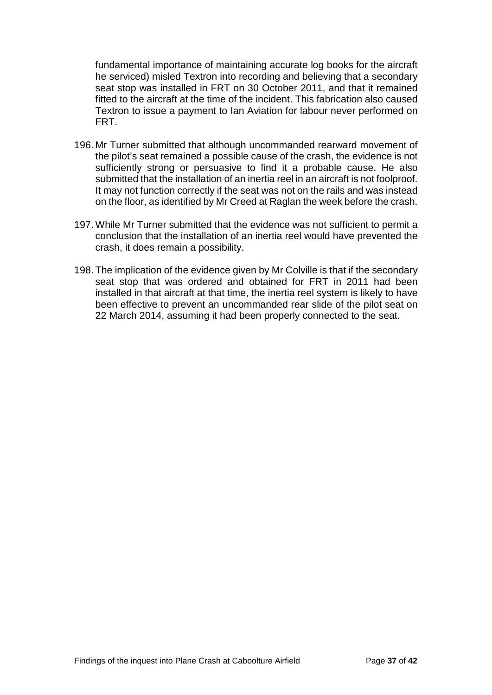fundamental importance of maintaining accurate log books for the aircraft he serviced) misled Textron into recording and believing that a secondary seat stop was installed in FRT on 30 October 2011, and that it remained fitted to the aircraft at the time of the incident. This fabrication also caused Textron to issue a payment to Ian Aviation for labour never performed on FRT.

- 196. Mr Turner submitted that although uncommanded rearward movement of the pilot's seat remained a possible cause of the crash, the evidence is not sufficiently strong or persuasive to find it a probable cause. He also submitted that the installation of an inertia reel in an aircraft is not foolproof. It may not function correctly if the seat was not on the rails and was instead on the floor, as identified by Mr Creed at Raglan the week before the crash.
- 197. While Mr Turner submitted that the evidence was not sufficient to permit a conclusion that the installation of an inertia reel would have prevented the crash, it does remain a possibility.
- 198. The implication of the evidence given by Mr Colville is that if the secondary seat stop that was ordered and obtained for FRT in 2011 had been installed in that aircraft at that time, the inertia reel system is likely to have been effective to prevent an uncommanded rear slide of the pilot seat on 22 March 2014, assuming it had been properly connected to the seat.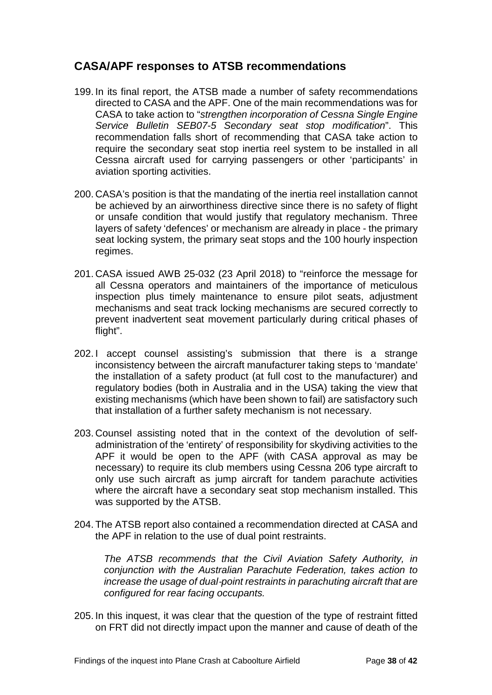## <span id="page-40-0"></span>**CASA/APF responses to ATSB recommendations**

- 199. In its final report, the ATSB made a number of safety recommendations directed to CASA and the APF. One of the main recommendations was for CASA to take action to "*strengthen incorporation of Cessna Single Engine Service Bulletin SEB07-5 Secondary seat stop modification*". This recommendation falls short of recommending that CASA take action to require the secondary seat stop inertia reel system to be installed in all Cessna aircraft used for carrying passengers or other 'participants' in aviation sporting activities.
- 200. CASA's position is that the mandating of the inertia reel installation cannot be achieved by an airworthiness directive since there is no safety of flight or unsafe condition that would justify that regulatory mechanism. Three layers of safety 'defences' or mechanism are already in place - the primary seat locking system, the primary seat stops and the 100 hourly inspection regimes.
- 201. CASA issued AWB 25-032 (23 April 2018) to "reinforce the message for all Cessna operators and maintainers of the importance of meticulous inspection plus timely maintenance to ensure pilot seats, adjustment mechanisms and seat track locking mechanisms are secured correctly to prevent inadvertent seat movement particularly during critical phases of flight".
- 202. I accept counsel assisting's submission that there is a strange inconsistency between the aircraft manufacturer taking steps to 'mandate' the installation of a safety product (at full cost to the manufacturer) and regulatory bodies (both in Australia and in the USA) taking the view that existing mechanisms (which have been shown to fail) are satisfactory such that installation of a further safety mechanism is not necessary.
- 203. Counsel assisting noted that in the context of the devolution of selfadministration of the 'entirety' of responsibility for skydiving activities to the APF it would be open to the APF (with CASA approval as may be necessary) to require its club members using Cessna 206 type aircraft to only use such aircraft as jump aircraft for tandem parachute activities where the aircraft have a secondary seat stop mechanism installed. This was supported by the ATSB.
- 204. The ATSB report also contained a recommendation directed at CASA and the APF in relation to the use of dual point restraints.

*The ATSB recommends that the Civil Aviation Safety Authority, in conjunction with the Australian Parachute Federation, takes action to increase the usage of dual*‑*point restraints in parachuting aircraft that are configured for rear facing occupants.*

205. In this inquest, it was clear that the question of the type of restraint fitted on FRT did not directly impact upon the manner and cause of death of the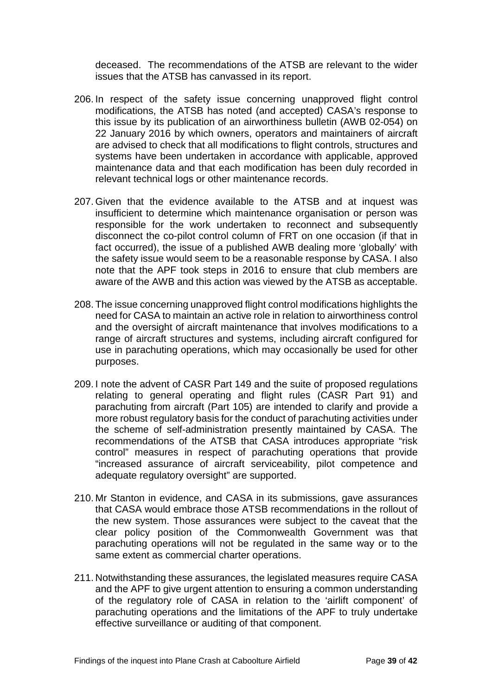deceased. The recommendations of the ATSB are relevant to the wider issues that the ATSB has canvassed in its report.

- 206. In respect of the safety issue concerning unapproved flight control modifications, the ATSB has noted (and accepted) CASA's response to this issue by its publication of an airworthiness bulletin (AWB 02-054) on 22 January 2016 by which owners, operators and maintainers of aircraft are advised to check that all modifications to flight controls, structures and systems have been undertaken in accordance with applicable, approved maintenance data and that each modification has been duly recorded in relevant technical logs or other maintenance records.
- 207. Given that the evidence available to the ATSB and at inquest was insufficient to determine which maintenance organisation or person was responsible for the work undertaken to reconnect and subsequently disconnect the co-pilot control column of FRT on one occasion (if that in fact occurred), the issue of a published AWB dealing more 'globally' with the safety issue would seem to be a reasonable response by CASA. I also note that the APF took steps in 2016 to ensure that club members are aware of the AWB and this action was viewed by the ATSB as acceptable.
- 208. The issue concerning unapproved flight control modifications highlights the need for CASA to maintain an active role in relation to airworthiness control and the oversight of aircraft maintenance that involves modifications to a range of aircraft structures and systems, including aircraft configured for use in parachuting operations, which may occasionally be used for other purposes.
- 209. I note the advent of CASR Part 149 and the suite of proposed regulations relating to general operating and flight rules (CASR Part 91) and parachuting from aircraft (Part 105) are intended to clarify and provide a more robust regulatory basis for the conduct of parachuting activities under the scheme of self-administration presently maintained by CASA. The recommendations of the ATSB that CASA introduces appropriate "risk control" measures in respect of parachuting operations that provide "increased assurance of aircraft serviceability, pilot competence and adequate regulatory oversight" are supported.
- 210. Mr Stanton in evidence, and CASA in its submissions, gave assurances that CASA would embrace those ATSB recommendations in the rollout of the new system. Those assurances were subject to the caveat that the clear policy position of the Commonwealth Government was that parachuting operations will not be regulated in the same way or to the same extent as commercial charter operations.
- 211. Notwithstanding these assurances, the legislated measures require CASA and the APF to give urgent attention to ensuring a common understanding of the regulatory role of CASA in relation to the 'airlift component' of parachuting operations and the limitations of the APF to truly undertake effective surveillance or auditing of that component.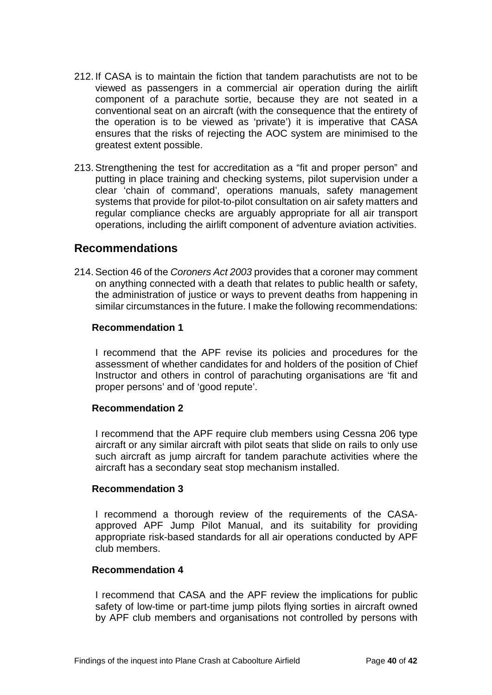- 212. If CASA is to maintain the fiction that tandem parachutists are not to be viewed as passengers in a commercial air operation during the airlift component of a parachute sortie, because they are not seated in a conventional seat on an aircraft (with the consequence that the entirety of the operation is to be viewed as 'private') it is imperative that CASA ensures that the risks of rejecting the AOC system are minimised to the greatest extent possible.
- 213. Strengthening the test for accreditation as a "fit and proper person" and putting in place training and checking systems, pilot supervision under a clear 'chain of command', operations manuals, safety management systems that provide for pilot-to-pilot consultation on air safety matters and regular compliance checks are arguably appropriate for all air transport operations, including the airlift component of adventure aviation activities.

#### <span id="page-42-0"></span>**Recommendations**

214. Section 46 of the *Coroners Act 2003* provides that a coroner may comment on anything connected with a death that relates to public health or safety, the administration of justice or ways to prevent deaths from happening in similar circumstances in the future. I make the following recommendations:

#### <span id="page-42-1"></span>**Recommendation 1**

I recommend that the APF revise its policies and procedures for the assessment of whether candidates for and holders of the position of Chief Instructor and others in control of parachuting organisations are 'fit and proper persons' and of 'good repute'.

#### <span id="page-42-2"></span>**Recommendation 2**

I recommend that the APF require club members using Cessna 206 type aircraft or any similar aircraft with pilot seats that slide on rails to only use such aircraft as jump aircraft for tandem parachute activities where the aircraft has a secondary seat stop mechanism installed.

#### <span id="page-42-3"></span>**Recommendation 3**

I recommend a thorough review of the requirements of the CASAapproved APF Jump Pilot Manual, and its suitability for providing appropriate risk-based standards for all air operations conducted by APF club members.

#### <span id="page-42-4"></span>**Recommendation 4**

I recommend that CASA and the APF review the implications for public safety of low-time or part-time jump pilots flying sorties in aircraft owned by APF club members and organisations not controlled by persons with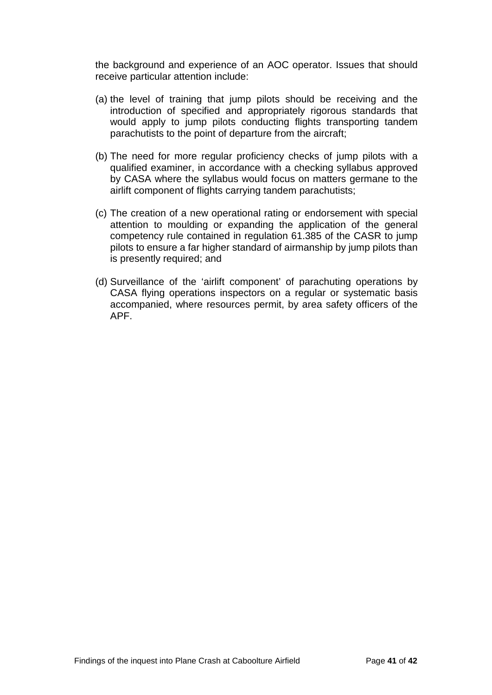the background and experience of an AOC operator. Issues that should receive particular attention include:

- (a) the level of training that jump pilots should be receiving and the introduction of specified and appropriately rigorous standards that would apply to jump pilots conducting flights transporting tandem parachutists to the point of departure from the aircraft;
- (b) The need for more regular proficiency checks of jump pilots with a qualified examiner, in accordance with a checking syllabus approved by CASA where the syllabus would focus on matters germane to the airlift component of flights carrying tandem parachutists;
- (c) The creation of a new operational rating or endorsement with special attention to moulding or expanding the application of the general competency rule contained in regulation 61.385 of the CASR to jump pilots to ensure a far higher standard of airmanship by jump pilots than is presently required; and
- (d) Surveillance of the 'airlift component' of parachuting operations by CASA flying operations inspectors on a regular or systematic basis accompanied, where resources permit, by area safety officers of the APF.